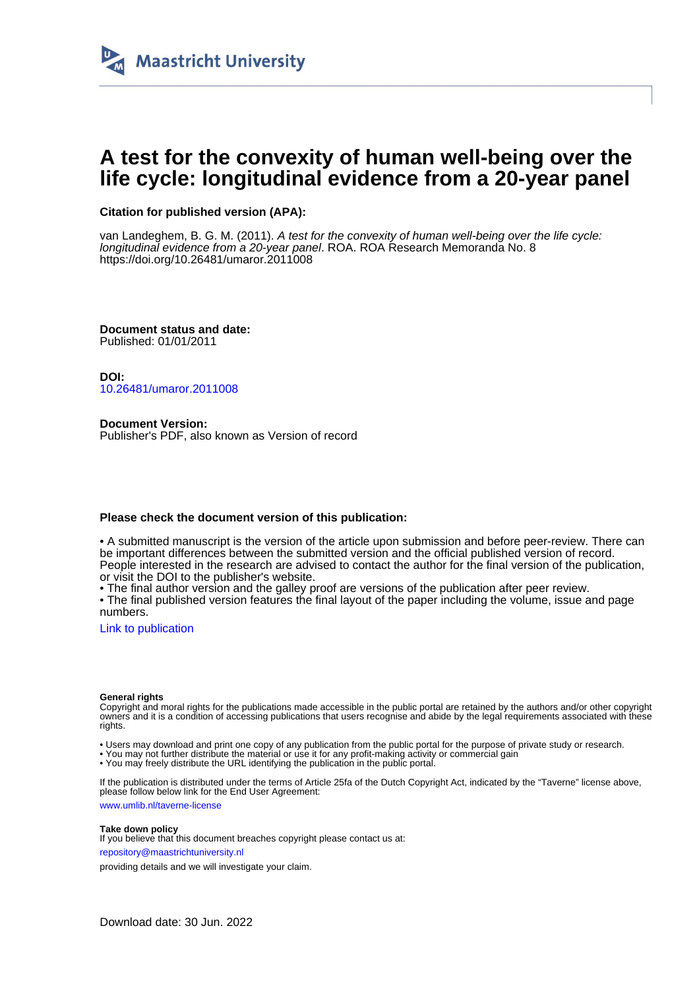

## **A test for the convexity of human well-being over the life cycle: longitudinal evidence from a 20-year panel**

#### **Citation for published version (APA):**

van Landeghem, B. G. M. (2011). A test for the convexity of human well-being over the life cycle: longitudinal evidence from a 20-year panel. ROA. ROA Research Memoranda No. 8 <https://doi.org/10.26481/umaror.2011008>

**Document status and date:** Published: 01/01/2011

**DOI:** [10.26481/umaror.2011008](https://doi.org/10.26481/umaror.2011008)

**Document Version:** Publisher's PDF, also known as Version of record

#### **Please check the document version of this publication:**

• A submitted manuscript is the version of the article upon submission and before peer-review. There can be important differences between the submitted version and the official published version of record. People interested in the research are advised to contact the author for the final version of the publication, or visit the DOI to the publisher's website.

• The final author version and the galley proof are versions of the publication after peer review.

• The final published version features the final layout of the paper including the volume, issue and page numbers.

[Link to publication](https://cris.maastrichtuniversity.nl/en/publications/fafec23c-edfa-4384-9c79-15447348c4c4)

#### **General rights**

Copyright and moral rights for the publications made accessible in the public portal are retained by the authors and/or other copyright owners and it is a condition of accessing publications that users recognise and abide by the legal requirements associated with these rights.

• Users may download and print one copy of any publication from the public portal for the purpose of private study or research.

• You may not further distribute the material or use it for any profit-making activity or commercial gain

• You may freely distribute the URL identifying the publication in the public portal.

If the publication is distributed under the terms of Article 25fa of the Dutch Copyright Act, indicated by the "Taverne" license above, please follow below link for the End User Agreement:

www.umlib.nl/taverne-license

#### **Take down policy**

If you believe that this document breaches copyright please contact us at: repository@maastrichtuniversity.nl

providing details and we will investigate your claim.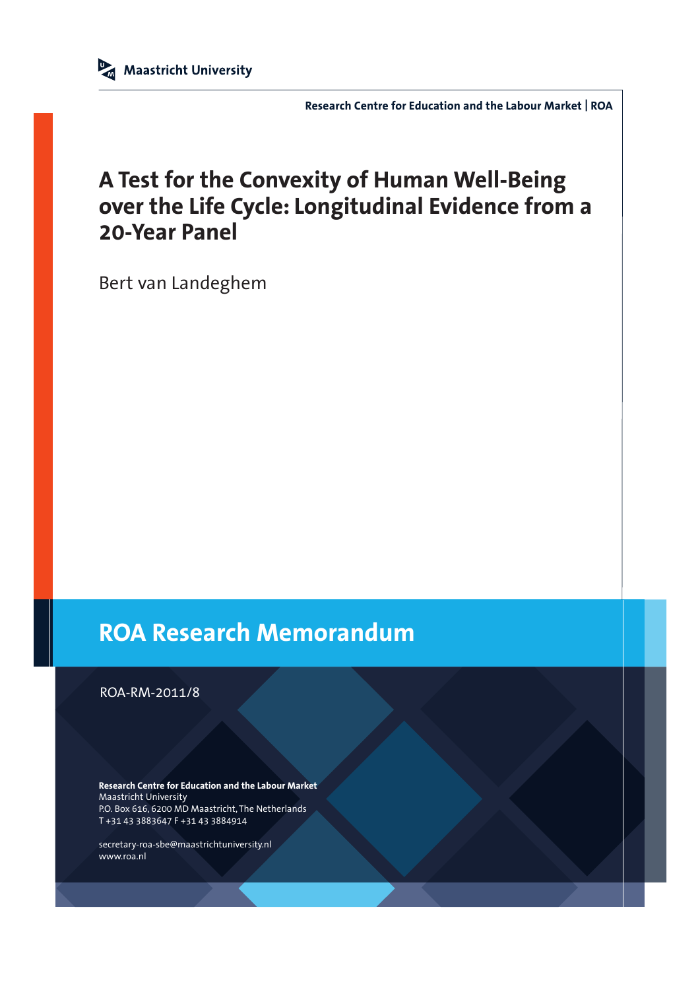**Research Centre for Education and the Labour Market | ROA**

# **A Test for the Convexity of Human Well-Being over the Life Cycle: Longitudinal Evidence from a 20-Year Panel**

Bert van Landeghem

# **ROA Research Memorandum**

ROA-RM-2011/8

**Research Centre for Education and the Labour Market** Maastricht University P.O. Box 616, 6200 MD Maastricht, The Netherlands T +31 43 3883647 F +31 43 3884914

secretary-roa-sbe@maastrichtuniversity.nl www.roa.nl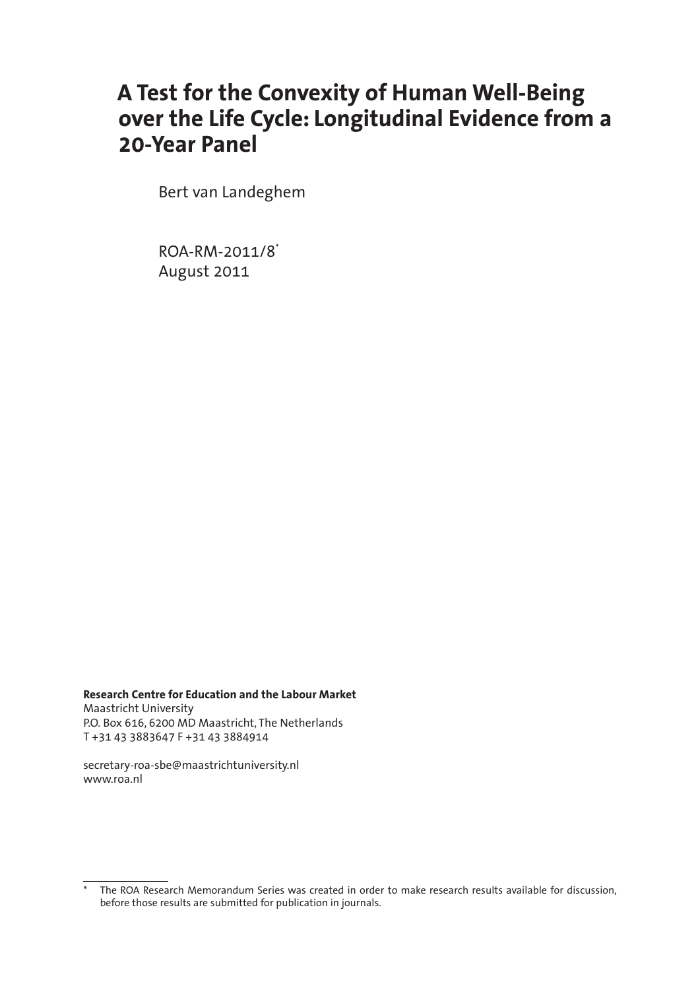# **A Test for the Convexity of Human Well-Being over the Life Cycle: Longitudinal Evidence from a 20-Year Panel**

Bert van Landeghem

ROA-RM-2011/8\* August 2011

**Research Centre for Education and the Labour Market** Maastricht University P.O. Box 616, 6200 MD Maastricht, The Netherlands T +31 43 3883647 F +31 43 3884914

secretary-roa-sbe@maastrichtuniversity.nl www.roa.nl

The ROA Research Memorandum Series was created in order to make research results available for discussion, before those results are submitted for publication in journals.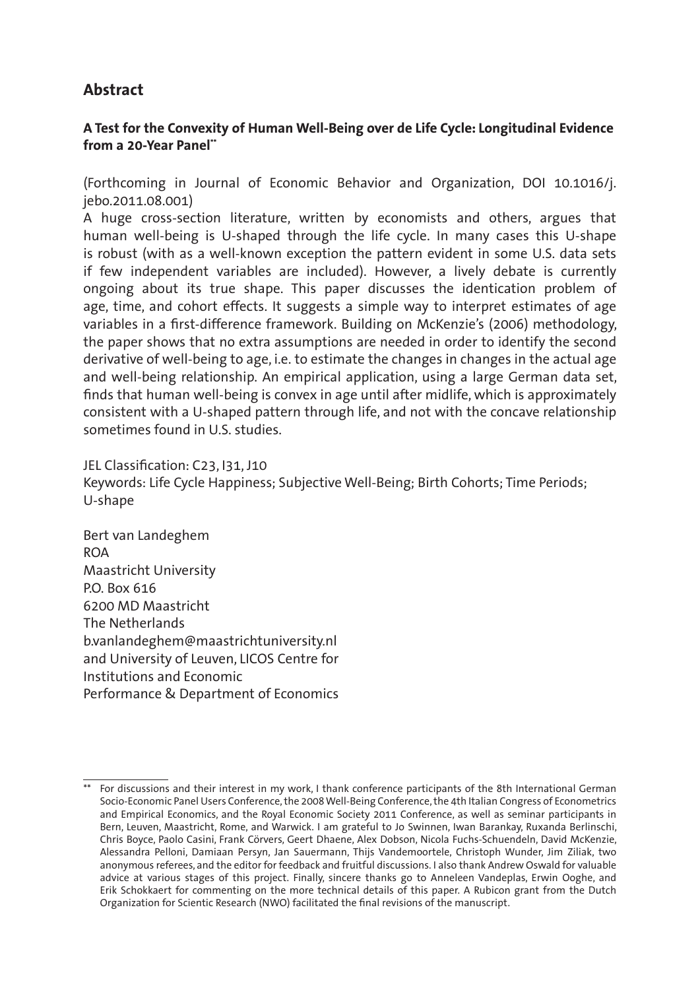### **Abstract**

#### **A Test for the Convexity of Human Well-Being over de Life Cycle: Longitudinal Evidence from a 20-Year Panel\*\***

(Forthcoming in Journal of Economic Behavior and Organization, DOI 10.1016/j. jebo.2011.08.001)

A huge cross-section literature, written by economists and others, argues that human well-being is U-shaped through the life cycle. In many cases this U-shape is robust (with as a well-known exception the pattern evident in some U.S. data sets if few independent variables are included). However, a lively debate is currently ongoing about its true shape. This paper discusses the identication problem of age, time, and cohort effects. It suggests a simple way to interpret estimates of age variables in a first-difference framework. Building on McKenzie's (2006) methodology, the paper shows that no extra assumptions are needed in order to identify the second derivative of well-being to age, i.e. to estimate the changes in changes in the actual age and well-being relationship. An empirical application, using a large German data set, finds that human well-being is convex in age until after midlife, which is approximately consistent with a U-shaped pattern through life, and not with the concave relationship sometimes found in U.S. studies.

JEL Classification: C23, I31, J10 Keywords: Life Cycle Happiness; Subjective Well-Being; Birth Cohorts; Time Periods; U-shape

Bert van Landeghem ROA Maastricht University P.O. Box 616 6200 MD Maastricht The Netherlands b.vanlandeghem@maastrichtuniversity.nl and University of Leuven, LICOS Centre for Institutions and Economic Performance & Department of Economics

<sup>\*\*</sup> For discussions and their interest in my work, I thank conference participants of the 8th International German Socio-Economic Panel Users Conference, the 2008 Well-Being Conference, the 4th Italian Congress of Econometrics and Empirical Economics, and the Royal Economic Society 2011 Conference, as well as seminar participants in Bern, Leuven, Maastricht, Rome, and Warwick. I am grateful to Jo Swinnen, Iwan Barankay, Ruxanda Berlinschi, Chris Boyce, Paolo Casini, Frank Cörvers, Geert Dhaene, Alex Dobson, Nicola Fuchs-Schuendeln, David McKenzie, Alessandra Pelloni, Damiaan Persyn, Jan Sauermann, Thijs Vandemoortele, Christoph Wunder, Jim Ziliak, two anonymous referees, and the editor for feedback and fruitful discussions. I also thank Andrew Oswald for valuable advice at various stages of this project. Finally, sincere thanks go to Anneleen Vandeplas, Erwin Ooghe, and Erik Schokkaert for commenting on the more technical details of this paper. A Rubicon grant from the Dutch Organization for Scientic Research (NWO) facilitated the final revisions of the manuscript.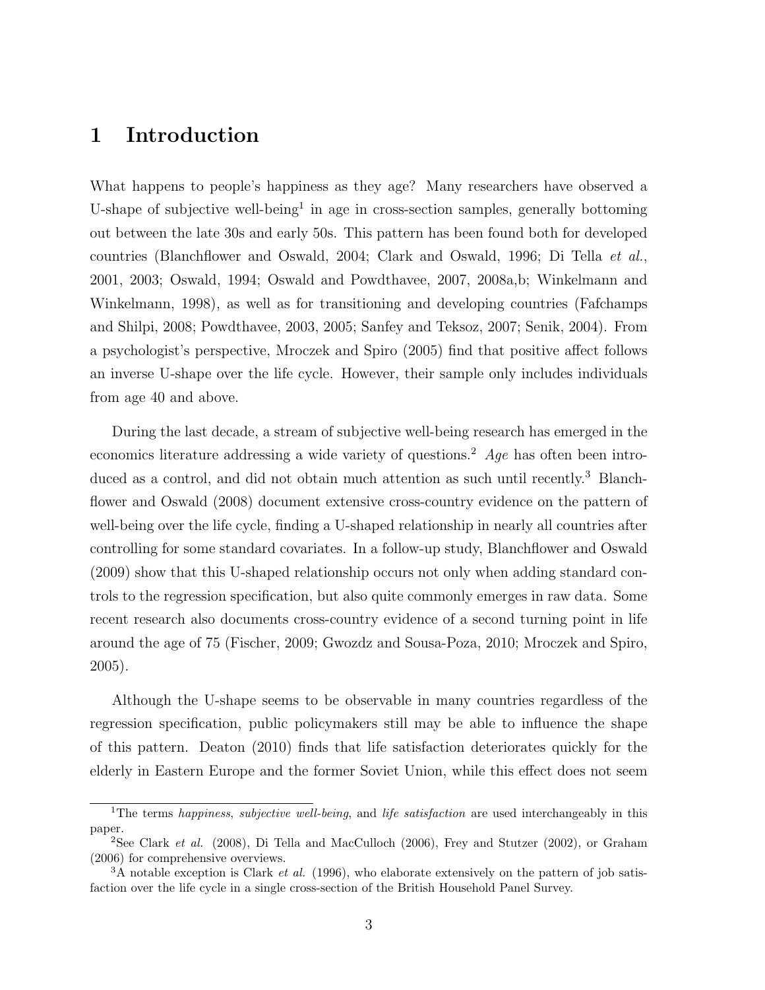### 1 Introduction

What happens to people's happiness as they age? Many researchers have observed a U-shape of subjective well-being<sup>1</sup> in age in cross-section samples, generally bottoming out between the late 30s and early 50s. This pattern has been found both for developed countries (Blanchflower and Oswald, 2004; Clark and Oswald, 1996; Di Tella et al., 2001, 2003; Oswald, 1994; Oswald and Powdthavee, 2007, 2008a,b; Winkelmann and Winkelmann, 1998), as well as for transitioning and developing countries (Fafchamps and Shilpi, 2008; Powdthavee, 2003, 2005; Sanfey and Teksoz, 2007; Senik, 2004). From a psychologist's perspective, Mroczek and Spiro (2005) find that positive affect follows an inverse U-shape over the life cycle. However, their sample only includes individuals from age 40 and above.

During the last decade, a stream of subjective well-being research has emerged in the economics literature addressing a wide variety of questions.<sup>2</sup> Age has often been introduced as a control, and did not obtain much attention as such until recently.<sup>3</sup> Blanchflower and Oswald (2008) document extensive cross-country evidence on the pattern of well-being over the life cycle, finding a U-shaped relationship in nearly all countries after controlling for some standard covariates. In a follow-up study, Blanchflower and Oswald (2009) show that this U-shaped relationship occurs not only when adding standard controls to the regression specification, but also quite commonly emerges in raw data. Some recent research also documents cross-country evidence of a second turning point in life around the age of 75 (Fischer, 2009; Gwozdz and Sousa-Poza, 2010; Mroczek and Spiro, 2005).

Although the U-shape seems to be observable in many countries regardless of the regression specification, public policymakers still may be able to influence the shape of this pattern. Deaton (2010) finds that life satisfaction deteriorates quickly for the elderly in Eastern Europe and the former Soviet Union, while this effect does not seem

<sup>&</sup>lt;sup>1</sup>The terms *happiness, subjective well-being*, and *life satisfaction* are used interchangeably in this paper.

<sup>&</sup>lt;sup>2</sup>See Clark et al. (2008), Di Tella and MacCulloch (2006), Frey and Stutzer (2002), or Graham (2006) for comprehensive overviews.

 $3A$  notable exception is Clark *et al.* (1996), who elaborate extensively on the pattern of job satisfaction over the life cycle in a single cross-section of the British Household Panel Survey.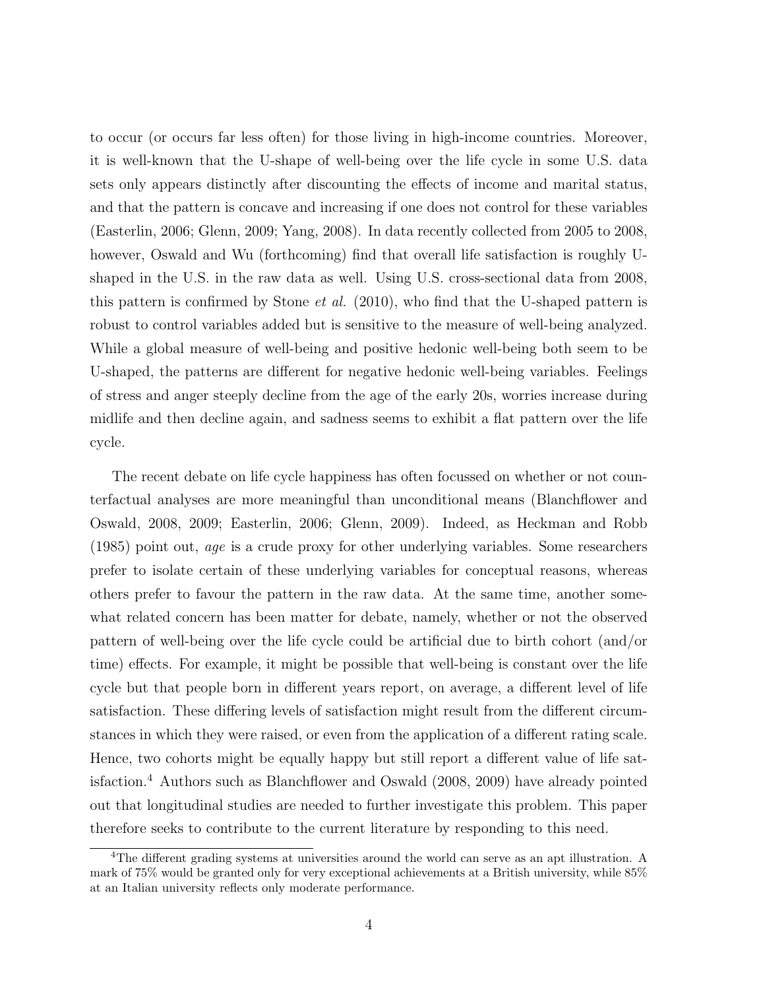to occur (or occurs far less often) for those living in high-income countries. Moreover, it is well-known that the U-shape of well-being over the life cycle in some U.S. data sets only appears distinctly after discounting the effects of income and marital status, and that the pattern is concave and increasing if one does not control for these variables (Easterlin, 2006; Glenn, 2009; Yang, 2008). In data recently collected from 2005 to 2008, however, Oswald and Wu (forthcoming) find that overall life satisfaction is roughly Ushaped in the U.S. in the raw data as well. Using U.S. cross-sectional data from 2008, this pattern is confirmed by Stone *et al.* (2010), who find that the U-shaped pattern is robust to control variables added but is sensitive to the measure of well-being analyzed. While a global measure of well-being and positive hedonic well-being both seem to be U-shaped, the patterns are different for negative hedonic well-being variables. Feelings of stress and anger steeply decline from the age of the early 20s, worries increase during midlife and then decline again, and sadness seems to exhibit a flat pattern over the life cycle.

The recent debate on life cycle happiness has often focussed on whether or not counterfactual analyses are more meaningful than unconditional means (Blanchflower and Oswald, 2008, 2009; Easterlin, 2006; Glenn, 2009). Indeed, as Heckman and Robb (1985) point out, age is a crude proxy for other underlying variables. Some researchers prefer to isolate certain of these underlying variables for conceptual reasons, whereas others prefer to favour the pattern in the raw data. At the same time, another somewhat related concern has been matter for debate, namely, whether or not the observed pattern of well-being over the life cycle could be artificial due to birth cohort (and/or time) effects. For example, it might be possible that well-being is constant over the life cycle but that people born in different years report, on average, a different level of life satisfaction. These differing levels of satisfaction might result from the different circumstances in which they were raised, or even from the application of a different rating scale. Hence, two cohorts might be equally happy but still report a different value of life satisfaction.<sup>4</sup> Authors such as Blanchflower and Oswald (2008, 2009) have already pointed out that longitudinal studies are needed to further investigate this problem. This paper therefore seeks to contribute to the current literature by responding to this need.

<sup>4</sup>The different grading systems at universities around the world can serve as an apt illustration. A mark of 75% would be granted only for very exceptional achievements at a British university, while 85% at an Italian university reflects only moderate performance.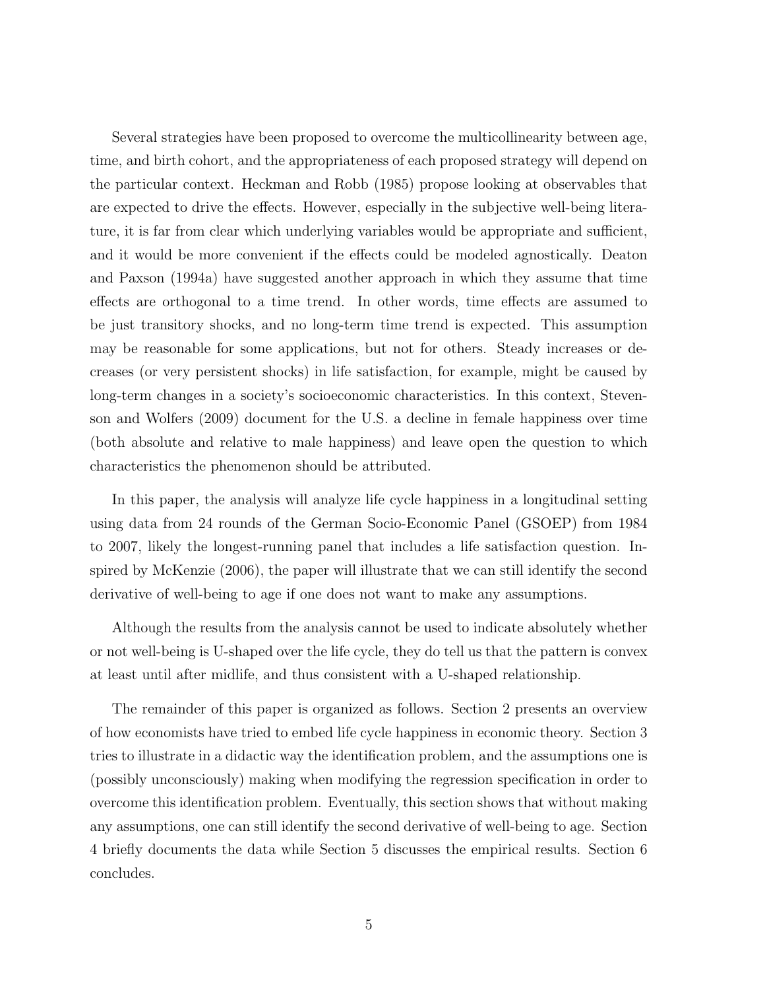Several strategies have been proposed to overcome the multicollinearity between age, time, and birth cohort, and the appropriateness of each proposed strategy will depend on the particular context. Heckman and Robb (1985) propose looking at observables that are expected to drive the effects. However, especially in the subjective well-being literature, it is far from clear which underlying variables would be appropriate and sufficient, and it would be more convenient if the effects could be modeled agnostically. Deaton and Paxson (1994a) have suggested another approach in which they assume that time effects are orthogonal to a time trend. In other words, time effects are assumed to be just transitory shocks, and no long-term time trend is expected. This assumption may be reasonable for some applications, but not for others. Steady increases or decreases (or very persistent shocks) in life satisfaction, for example, might be caused by long-term changes in a society's socioeconomic characteristics. In this context, Stevenson and Wolfers (2009) document for the U.S. a decline in female happiness over time (both absolute and relative to male happiness) and leave open the question to which characteristics the phenomenon should be attributed.

In this paper, the analysis will analyze life cycle happiness in a longitudinal setting using data from 24 rounds of the German Socio-Economic Panel (GSOEP) from 1984 to 2007, likely the longest-running panel that includes a life satisfaction question. Inspired by McKenzie (2006), the paper will illustrate that we can still identify the second derivative of well-being to age if one does not want to make any assumptions.

Although the results from the analysis cannot be used to indicate absolutely whether or not well-being is U-shaped over the life cycle, they do tell us that the pattern is convex at least until after midlife, and thus consistent with a U-shaped relationship.

The remainder of this paper is organized as follows. Section 2 presents an overview of how economists have tried to embed life cycle happiness in economic theory. Section 3 tries to illustrate in a didactic way the identification problem, and the assumptions one is (possibly unconsciously) making when modifying the regression specification in order to overcome this identification problem. Eventually, this section shows that without making any assumptions, one can still identify the second derivative of well-being to age. Section 4 briefly documents the data while Section 5 discusses the empirical results. Section 6 concludes.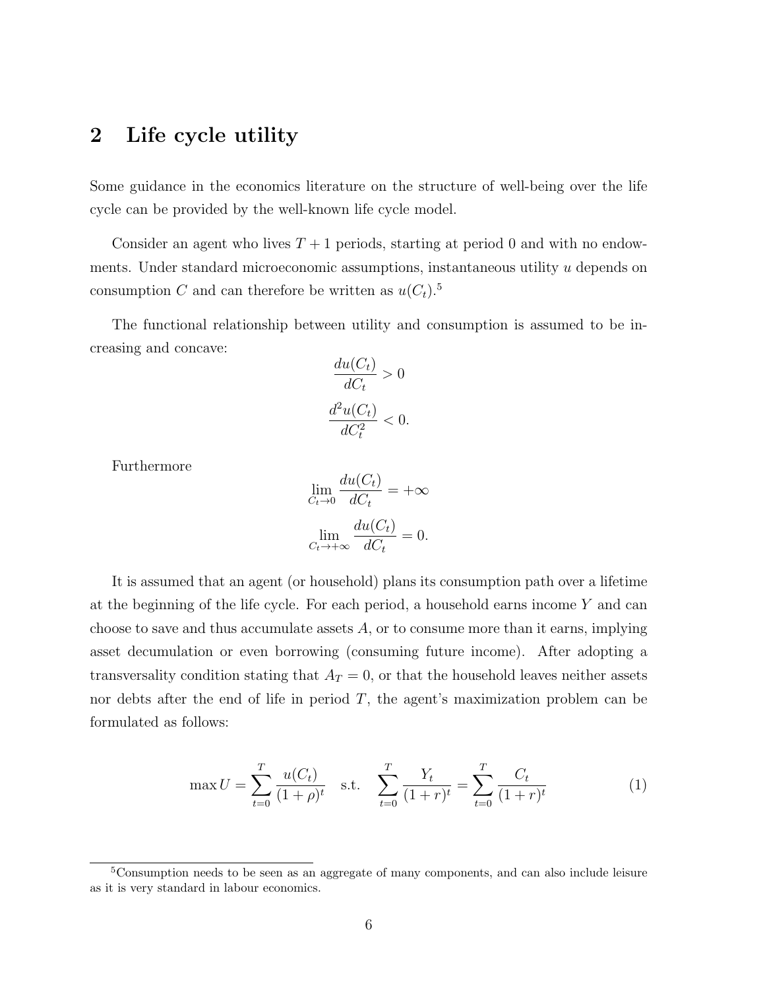### 2 Life cycle utility

Some guidance in the economics literature on the structure of well-being over the life cycle can be provided by the well-known life cycle model.

Consider an agent who lives  $T+1$  periods, starting at period 0 and with no endowments. Under standard microeconomic assumptions, instantaneous utility u depends on consumption C and can therefore be written as  $u(C_t)$ .<sup>5</sup>

The functional relationship between utility and consumption is assumed to be increasing and concave:

$$
\frac{du(C_t)}{dC_t} > 0
$$

$$
\frac{d^2u(C_t)}{dC_t^2} < 0.
$$

Furthermore

$$
\lim_{C_t \to 0} \frac{du(C_t)}{dC_t} = +\infty
$$

$$
\lim_{C_t \to +\infty} \frac{du(C_t)}{dC_t} = 0.
$$

It is assumed that an agent (or household) plans its consumption path over a lifetime at the beginning of the life cycle. For each period, a household earns income  $Y$  and can choose to save and thus accumulate assets  $A$ , or to consume more than it earns, implying asset decumulation or even borrowing (consuming future income). After adopting a transversality condition stating that  $A_T = 0$ , or that the household leaves neither assets nor debts after the end of life in period  $T$ , the agent's maximization problem can be formulated as follows:

$$
\max U = \sum_{t=0}^{T} \frac{u(C_t)}{(1+\rho)^t} \quad \text{s.t.} \quad \sum_{t=0}^{T} \frac{Y_t}{(1+r)^t} = \sum_{t=0}^{T} \frac{C_t}{(1+r)^t} \tag{1}
$$

<sup>5</sup>Consumption needs to be seen as an aggregate of many components, and can also include leisure as it is very standard in labour economics.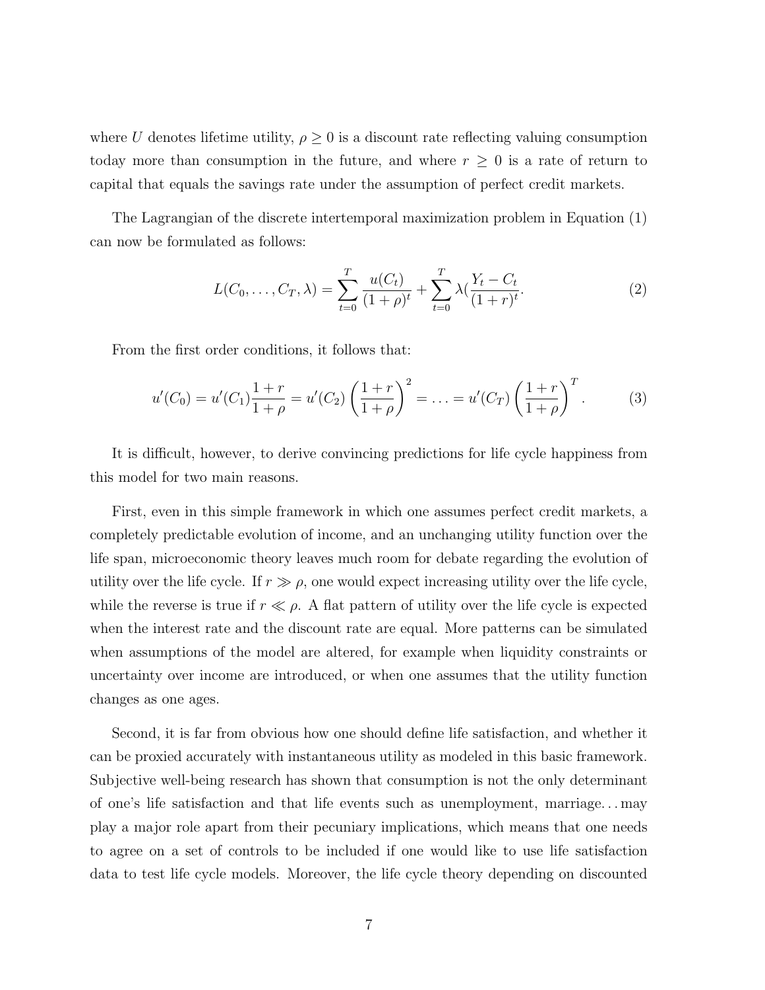where U denotes lifetime utility,  $\rho \geq 0$  is a discount rate reflecting valuing consumption today more than consumption in the future, and where  $r \geq 0$  is a rate of return to capital that equals the savings rate under the assumption of perfect credit markets.

The Lagrangian of the discrete intertemporal maximization problem in Equation (1) can now be formulated as follows:

$$
L(C_0, \dots, C_T, \lambda) = \sum_{t=0}^T \frac{u(C_t)}{(1+\rho)^t} + \sum_{t=0}^T \lambda \left( \frac{Y_t - C_t}{(1+r)^t} \right)
$$
 (2)

From the first order conditions, it follows that:

$$
u'(C_0) = u'(C_1)\frac{1+r}{1+\rho} = u'(C_2)\left(\frac{1+r}{1+\rho}\right)^2 = \ldots = u'(C_T)\left(\frac{1+r}{1+\rho}\right)^T.
$$
 (3)

It is difficult, however, to derive convincing predictions for life cycle happiness from this model for two main reasons.

First, even in this simple framework in which one assumes perfect credit markets, a completely predictable evolution of income, and an unchanging utility function over the life span, microeconomic theory leaves much room for debate regarding the evolution of utility over the life cycle. If  $r \gg \rho$ , one would expect increasing utility over the life cycle, while the reverse is true if  $r \ll \rho$ . A flat pattern of utility over the life cycle is expected when the interest rate and the discount rate are equal. More patterns can be simulated when assumptions of the model are altered, for example when liquidity constraints or uncertainty over income are introduced, or when one assumes that the utility function changes as one ages.

Second, it is far from obvious how one should define life satisfaction, and whether it can be proxied accurately with instantaneous utility as modeled in this basic framework. Subjective well-being research has shown that consumption is not the only determinant of one's life satisfaction and that life events such as unemployment, marriage. . . may play a major role apart from their pecuniary implications, which means that one needs to agree on a set of controls to be included if one would like to use life satisfaction data to test life cycle models. Moreover, the life cycle theory depending on discounted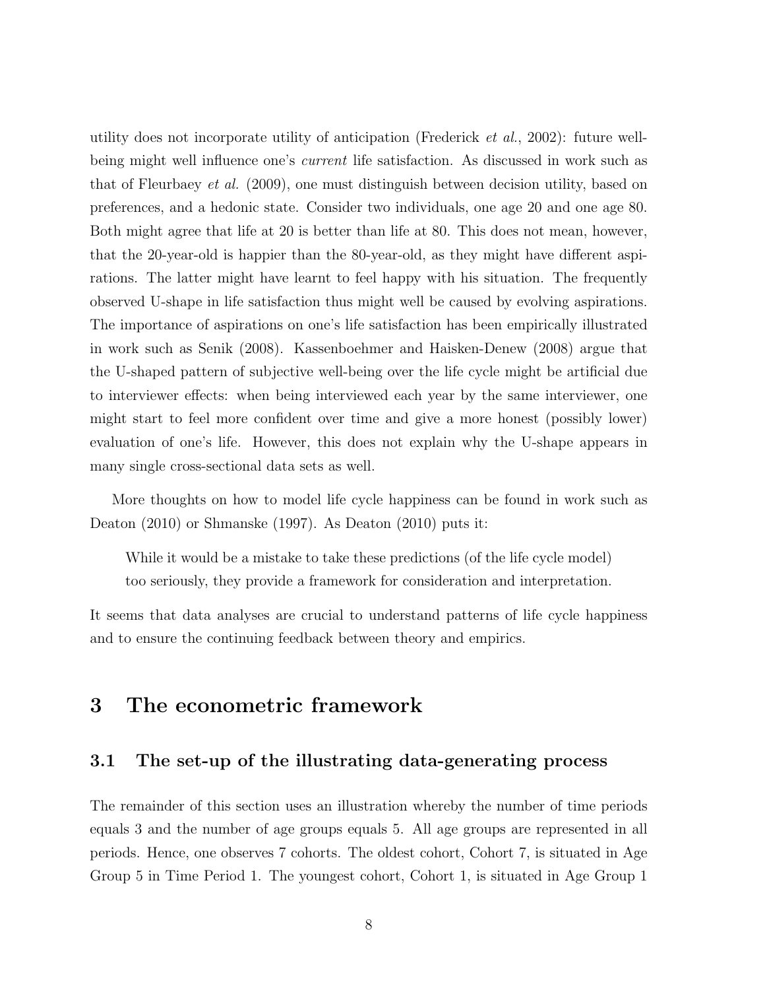utility does not incorporate utility of anticipation (Frederick et al., 2002): future wellbeing might well influence one's *current* life satisfaction. As discussed in work such as that of Fleurbaey et al. (2009), one must distinguish between decision utility, based on preferences, and a hedonic state. Consider two individuals, one age 20 and one age 80. Both might agree that life at 20 is better than life at 80. This does not mean, however, that the 20-year-old is happier than the 80-year-old, as they might have different aspirations. The latter might have learnt to feel happy with his situation. The frequently observed U-shape in life satisfaction thus might well be caused by evolving aspirations. The importance of aspirations on one's life satisfaction has been empirically illustrated in work such as Senik (2008). Kassenboehmer and Haisken-Denew (2008) argue that the U-shaped pattern of subjective well-being over the life cycle might be artificial due to interviewer effects: when being interviewed each year by the same interviewer, one might start to feel more confident over time and give a more honest (possibly lower) evaluation of one's life. However, this does not explain why the U-shape appears in many single cross-sectional data sets as well.

More thoughts on how to model life cycle happiness can be found in work such as Deaton (2010) or Shmanske (1997). As Deaton (2010) puts it:

While it would be a mistake to take these predictions (of the life cycle model) too seriously, they provide a framework for consideration and interpretation.

It seems that data analyses are crucial to understand patterns of life cycle happiness and to ensure the continuing feedback between theory and empirics.

### 3 The econometric framework

#### 3.1 The set-up of the illustrating data-generating process

The remainder of this section uses an illustration whereby the number of time periods equals 3 and the number of age groups equals 5. All age groups are represented in all periods. Hence, one observes 7 cohorts. The oldest cohort, Cohort 7, is situated in Age Group 5 in Time Period 1. The youngest cohort, Cohort 1, is situated in Age Group 1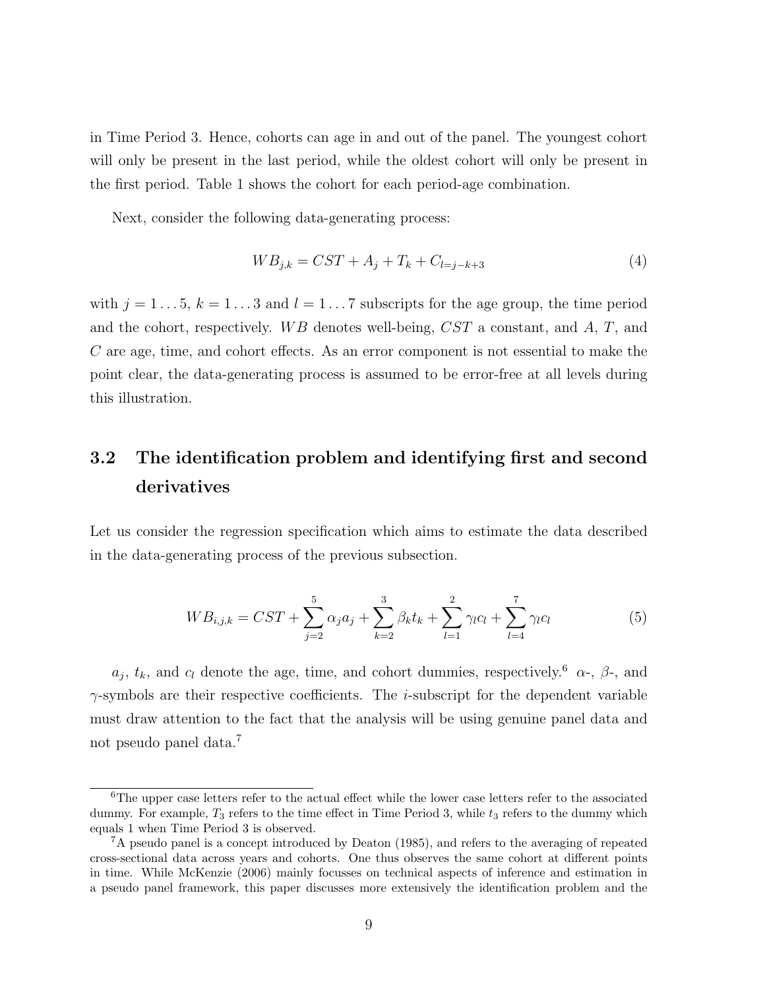in Time Period 3. Hence, cohorts can age in and out of the panel. The youngest cohort will only be present in the last period, while the oldest cohort will only be present in the first period. Table 1 shows the cohort for each period-age combination.

Next, consider the following data-generating process:

$$
WB_{j,k} = CST + A_j + T_k + C_{l=j-k+3}
$$
\n<sup>(4)</sup>

with  $j = 1 \dots 5$ ,  $k = 1 \dots 3$  and  $l = 1 \dots 7$  subscripts for the age group, the time period and the cohort, respectively. WB denotes well-being,  $CST$  a constant, and A, T, and C are age, time, and cohort effects. As an error component is not essential to make the point clear, the data-generating process is assumed to be error-free at all levels during this illustration.

## 3.2 The identification problem and identifying first and second derivatives

Let us consider the regression specification which aims to estimate the data described in the data-generating process of the previous subsection.

$$
WB_{i,j,k} = SST + \sum_{j=2}^{5} \alpha_j a_j + \sum_{k=2}^{3} \beta_k t_k + \sum_{l=1}^{2} \gamma_l c_l + \sum_{l=4}^{7} \gamma_l c_l \tag{5}
$$

 $a_j, t_k$ , and  $c_l$  denote the age, time, and cohort dummies, respectively.<sup>6</sup>  $\alpha$ -,  $\beta$ -, and  $\gamma$ -symbols are their respective coefficients. The *i*-subscript for the dependent variable must draw attention to the fact that the analysis will be using genuine panel data and not pseudo panel data.<sup>7</sup>

<sup>&</sup>lt;sup>6</sup>The upper case letters refer to the actual effect while the lower case letters refer to the associated dummy. For example,  $T_3$  refers to the time effect in Time Period 3, while  $t_3$  refers to the dummy which equals 1 when Time Period 3 is observed.

<sup>7</sup>A pseudo panel is a concept introduced by Deaton (1985), and refers to the averaging of repeated cross-sectional data across years and cohorts. One thus observes the same cohort at different points in time. While McKenzie (2006) mainly focusses on technical aspects of inference and estimation in a pseudo panel framework, this paper discusses more extensively the identification problem and the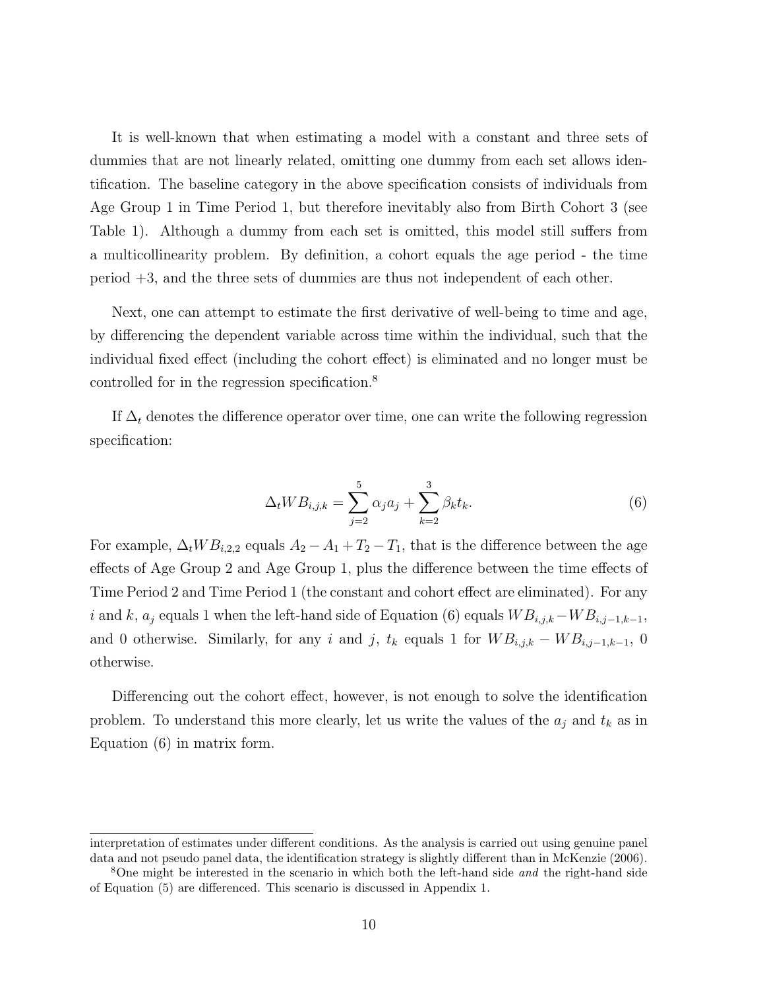It is well-known that when estimating a model with a constant and three sets of dummies that are not linearly related, omitting one dummy from each set allows identification. The baseline category in the above specification consists of individuals from Age Group 1 in Time Period 1, but therefore inevitably also from Birth Cohort 3 (see Table 1). Although a dummy from each set is omitted, this model still suffers from a multicollinearity problem. By definition, a cohort equals the age period - the time period +3, and the three sets of dummies are thus not independent of each other.

Next, one can attempt to estimate the first derivative of well-being to time and age, by differencing the dependent variable across time within the individual, such that the individual fixed effect (including the cohort effect) is eliminated and no longer must be controlled for in the regression specification.<sup>8</sup>

If  $\Delta_t$  denotes the difference operator over time, one can write the following regression specification:

$$
\Delta_t W B_{i,j,k} = \sum_{j=2}^5 \alpha_j a_j + \sum_{k=2}^3 \beta_k t_k.
$$
 (6)

For example,  $\Delta_t W B_{i,2,2}$  equals  $A_2 - A_1 + T_2 - T_1$ , that is the difference between the age effects of Age Group 2 and Age Group 1, plus the difference between the time effects of Time Period 2 and Time Period 1 (the constant and cohort effect are eliminated). For any i and k,  $a_j$  equals 1 when the left-hand side of Equation (6) equals  $WB_{i,j,k}-WB_{i,j-1,k-1}$ , and 0 otherwise. Similarly, for any i and j,  $t_k$  equals 1 for  $WB_{i,j,k} - WB_{i,j-1,k-1}$ , 0 otherwise.

Differencing out the cohort effect, however, is not enough to solve the identification problem. To understand this more clearly, let us write the values of the  $a_j$  and  $t_k$  as in Equation (6) in matrix form.

interpretation of estimates under different conditions. As the analysis is carried out using genuine panel data and not pseudo panel data, the identification strategy is slightly different than in McKenzie (2006).

<sup>8</sup>One might be interested in the scenario in which both the left-hand side and the right-hand side of Equation (5) are differenced. This scenario is discussed in Appendix 1.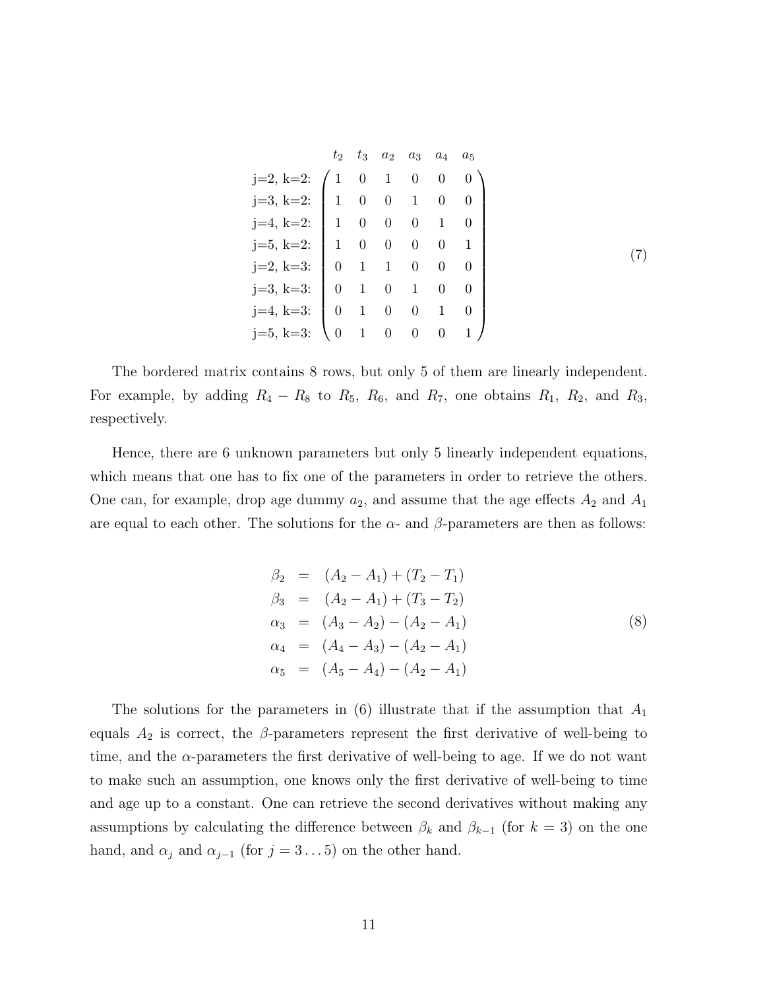|                                                                                                                                                                                                                                                                                       |  |  | $t_2$ $t_3$ $a_2$ $a_3$ $a_4$ $a_5$ |  |
|---------------------------------------------------------------------------------------------------------------------------------------------------------------------------------------------------------------------------------------------------------------------------------------|--|--|-------------------------------------|--|
| j=2, k=2:<br>j=3, k=2:<br>j=4, k=2:<br>j=5, k=2:<br>1 0 0 0 1 0<br>j=5, k=2:<br>1 0 0 0 1 0<br>j=2, k=3:<br>0 1 0 0 0 0<br>j=4, k=3:<br>j=4, k=3:<br>0 1 0 1 0 0<br>j=4, k=3:<br>0 1 0 1 0<br>j=5, k=3:<br>0 1 0<br>0 1 0<br>0<br>1<br>0<br>1<br>0<br>0<br>1<br>0<br>0<br>0<br>0<br>1 |  |  |                                     |  |
|                                                                                                                                                                                                                                                                                       |  |  |                                     |  |
|                                                                                                                                                                                                                                                                                       |  |  |                                     |  |
|                                                                                                                                                                                                                                                                                       |  |  |                                     |  |
|                                                                                                                                                                                                                                                                                       |  |  |                                     |  |
|                                                                                                                                                                                                                                                                                       |  |  |                                     |  |
|                                                                                                                                                                                                                                                                                       |  |  |                                     |  |
|                                                                                                                                                                                                                                                                                       |  |  |                                     |  |

The bordered matrix contains 8 rows, but only 5 of them are linearly independent. For example, by adding  $R_4 - R_8$  to  $R_5$ ,  $R_6$ , and  $R_7$ , one obtains  $R_1$ ,  $R_2$ , and  $R_3$ , respectively.

Hence, there are 6 unknown parameters but only 5 linearly independent equations, which means that one has to fix one of the parameters in order to retrieve the others. One can, for example, drop age dummy  $a_2$ , and assume that the age effects  $A_2$  and  $A_1$ are equal to each other. The solutions for the  $\alpha$ - and  $\beta$ -parameters are then as follows:

$$
\beta_2 = (A_2 - A_1) + (T_2 - T_1) \n\beta_3 = (A_2 - A_1) + (T_3 - T_2) \n\alpha_3 = (A_3 - A_2) - (A_2 - A_1) \n\alpha_4 = (A_4 - A_3) - (A_2 - A_1) \n\alpha_5 = (A_5 - A_4) - (A_2 - A_1)
$$
\n(8)

The solutions for the parameters in  $(6)$  illustrate that if the assumption that  $A_1$ equals  $A_2$  is correct, the  $\beta$ -parameters represent the first derivative of well-being to time, and the  $\alpha$ -parameters the first derivative of well-being to age. If we do not want to make such an assumption, one knows only the first derivative of well-being to time and age up to a constant. One can retrieve the second derivatives without making any assumptions by calculating the difference between  $\beta_k$  and  $\beta_{k-1}$  (for  $k=3$ ) on the one hand, and  $\alpha_j$  and  $\alpha_{j-1}$  (for  $j = 3 \dots 5$ ) on the other hand.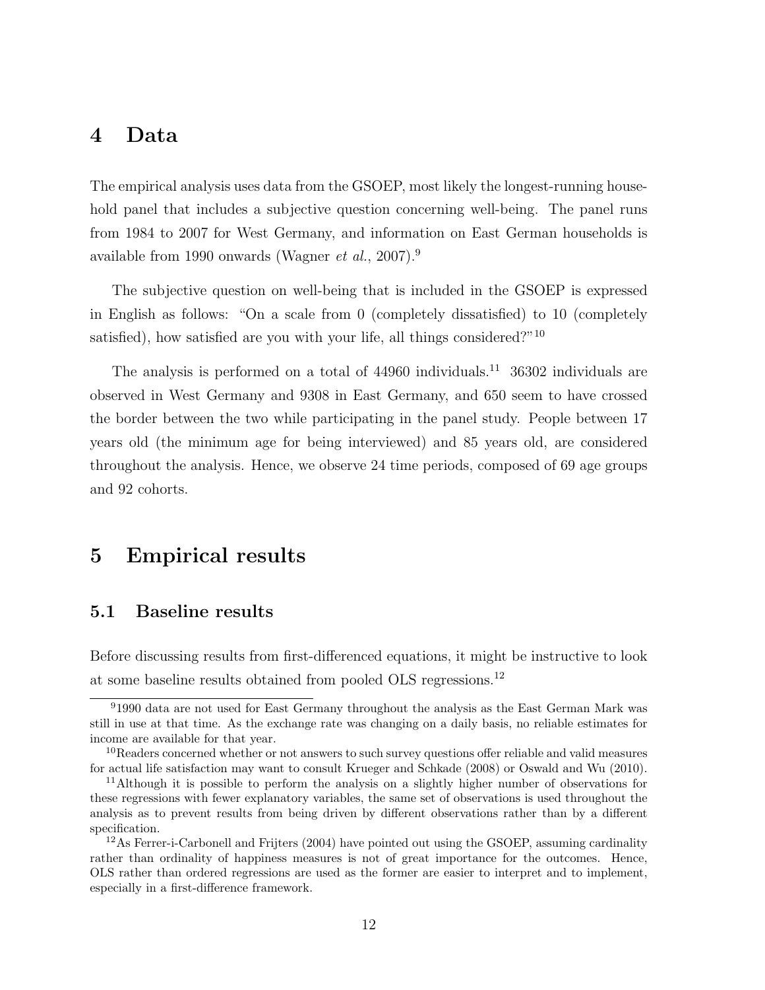#### 4 Data

The empirical analysis uses data from the GSOEP, most likely the longest-running household panel that includes a subjective question concerning well-being. The panel runs from 1984 to 2007 for West Germany, and information on East German households is available from 1990 onwards (Wagner et al., 2007).<sup>9</sup>

The subjective question on well-being that is included in the GSOEP is expressed in English as follows: "On a scale from 0 (completely dissatisfied) to 10 (completely satisfied), how satisfied are you with your life, all things considered?"<sup>10</sup>

The analysis is performed on a total of 44960 individuals.<sup>11</sup> 36302 individuals are observed in West Germany and 9308 in East Germany, and 650 seem to have crossed the border between the two while participating in the panel study. People between 17 years old (the minimum age for being interviewed) and 85 years old, are considered throughout the analysis. Hence, we observe 24 time periods, composed of 69 age groups and 92 cohorts.

### 5 Empirical results

#### 5.1 Baseline results

Before discussing results from first-differenced equations, it might be instructive to look at some baseline results obtained from pooled OLS regressions.<sup>12</sup>

<sup>9</sup>1990 data are not used for East Germany throughout the analysis as the East German Mark was still in use at that time. As the exchange rate was changing on a daily basis, no reliable estimates for income are available for that year.

<sup>10</sup>Readers concerned whether or not answers to such survey questions offer reliable and valid measures for actual life satisfaction may want to consult Krueger and Schkade (2008) or Oswald and Wu (2010).

<sup>&</sup>lt;sup>11</sup>Although it is possible to perform the analysis on a slightly higher number of observations for these regressions with fewer explanatory variables, the same set of observations is used throughout the analysis as to prevent results from being driven by different observations rather than by a different specification.

<sup>&</sup>lt;sup>12</sup>As Ferrer-i-Carbonell and Frijters (2004) have pointed out using the GSOEP, assuming cardinality rather than ordinality of happiness measures is not of great importance for the outcomes. Hence, OLS rather than ordered regressions are used as the former are easier to interpret and to implement, especially in a first-difference framework.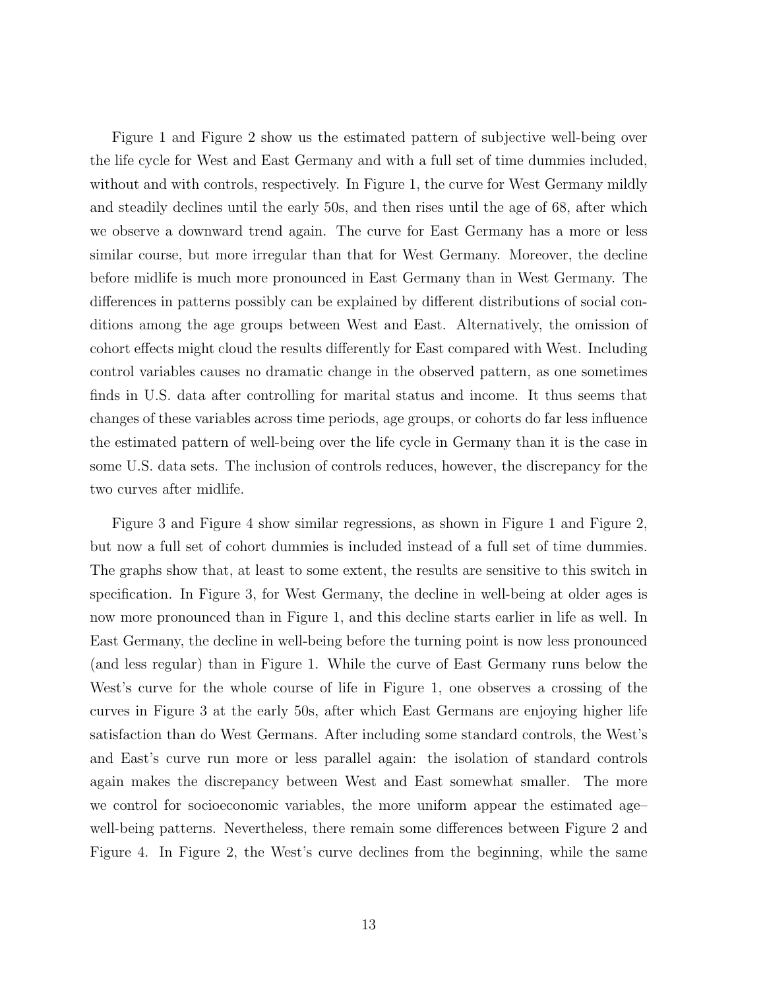Figure 1 and Figure 2 show us the estimated pattern of subjective well-being over the life cycle for West and East Germany and with a full set of time dummies included, without and with controls, respectively. In Figure 1, the curve for West Germany mildly and steadily declines until the early 50s, and then rises until the age of 68, after which we observe a downward trend again. The curve for East Germany has a more or less similar course, but more irregular than that for West Germany. Moreover, the decline before midlife is much more pronounced in East Germany than in West Germany. The differences in patterns possibly can be explained by different distributions of social conditions among the age groups between West and East. Alternatively, the omission of cohort effects might cloud the results differently for East compared with West. Including control variables causes no dramatic change in the observed pattern, as one sometimes finds in U.S. data after controlling for marital status and income. It thus seems that changes of these variables across time periods, age groups, or cohorts do far less influence the estimated pattern of well-being over the life cycle in Germany than it is the case in some U.S. data sets. The inclusion of controls reduces, however, the discrepancy for the two curves after midlife.

Figure 3 and Figure 4 show similar regressions, as shown in Figure 1 and Figure 2, but now a full set of cohort dummies is included instead of a full set of time dummies. The graphs show that, at least to some extent, the results are sensitive to this switch in specification. In Figure 3, for West Germany, the decline in well-being at older ages is now more pronounced than in Figure 1, and this decline starts earlier in life as well. In East Germany, the decline in well-being before the turning point is now less pronounced (and less regular) than in Figure 1. While the curve of East Germany runs below the West's curve for the whole course of life in Figure 1, one observes a crossing of the curves in Figure 3 at the early 50s, after which East Germans are enjoying higher life satisfaction than do West Germans. After including some standard controls, the West's and East's curve run more or less parallel again: the isolation of standard controls again makes the discrepancy between West and East somewhat smaller. The more we control for socioeconomic variables, the more uniform appear the estimated age– well-being patterns. Nevertheless, there remain some differences between Figure 2 and Figure 4. In Figure 2, the West's curve declines from the beginning, while the same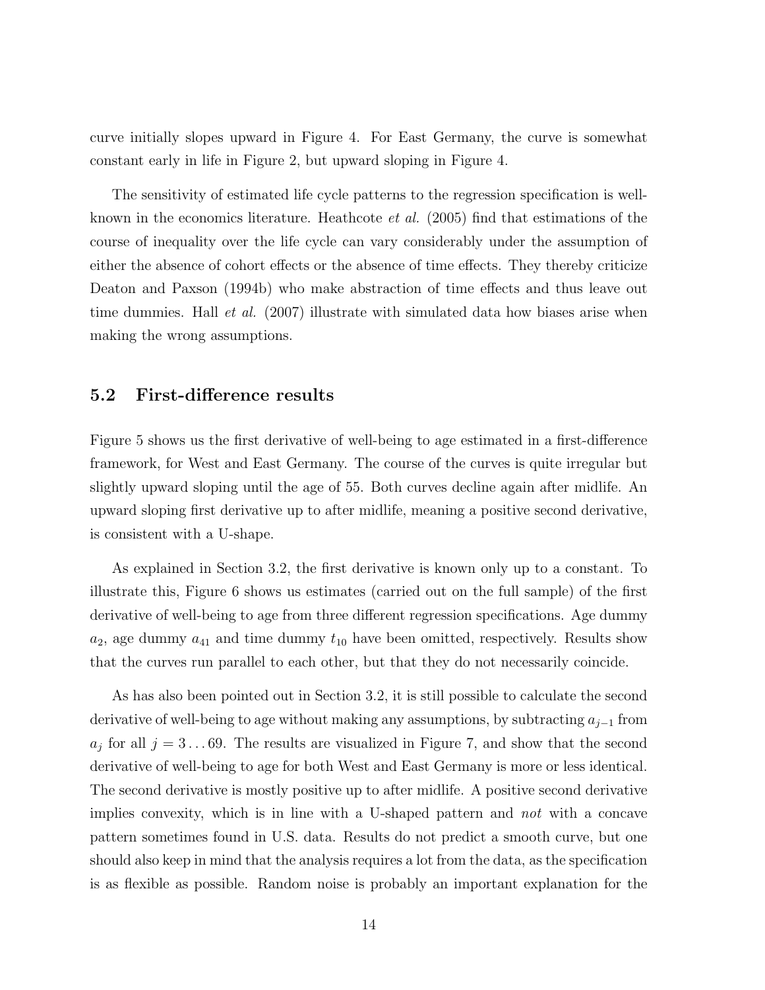curve initially slopes upward in Figure 4. For East Germany, the curve is somewhat constant early in life in Figure 2, but upward sloping in Figure 4.

The sensitivity of estimated life cycle patterns to the regression specification is wellknown in the economics literature. Heathcote et al. (2005) find that estimations of the course of inequality over the life cycle can vary considerably under the assumption of either the absence of cohort effects or the absence of time effects. They thereby criticize Deaton and Paxson (1994b) who make abstraction of time effects and thus leave out time dummies. Hall *et al.* (2007) illustrate with simulated data how biases arise when making the wrong assumptions.

#### 5.2 First-difference results

Figure 5 shows us the first derivative of well-being to age estimated in a first-difference framework, for West and East Germany. The course of the curves is quite irregular but slightly upward sloping until the age of 55. Both curves decline again after midlife. An upward sloping first derivative up to after midlife, meaning a positive second derivative, is consistent with a U-shape.

As explained in Section 3.2, the first derivative is known only up to a constant. To illustrate this, Figure 6 shows us estimates (carried out on the full sample) of the first derivative of well-being to age from three different regression specifications. Age dummy  $a_2$ , age dummy  $a_{41}$  and time dummy  $t_{10}$  have been omitted, respectively. Results show that the curves run parallel to each other, but that they do not necessarily coincide.

As has also been pointed out in Section 3.2, it is still possible to calculate the second derivative of well-being to age without making any assumptions, by subtracting  $a_{j-1}$  from  $a_j$  for all  $j = 3 \dots 69$ . The results are visualized in Figure 7, and show that the second derivative of well-being to age for both West and East Germany is more or less identical. The second derivative is mostly positive up to after midlife. A positive second derivative implies convexity, which is in line with a U-shaped pattern and not with a concave pattern sometimes found in U.S. data. Results do not predict a smooth curve, but one should also keep in mind that the analysis requires a lot from the data, as the specification is as flexible as possible. Random noise is probably an important explanation for the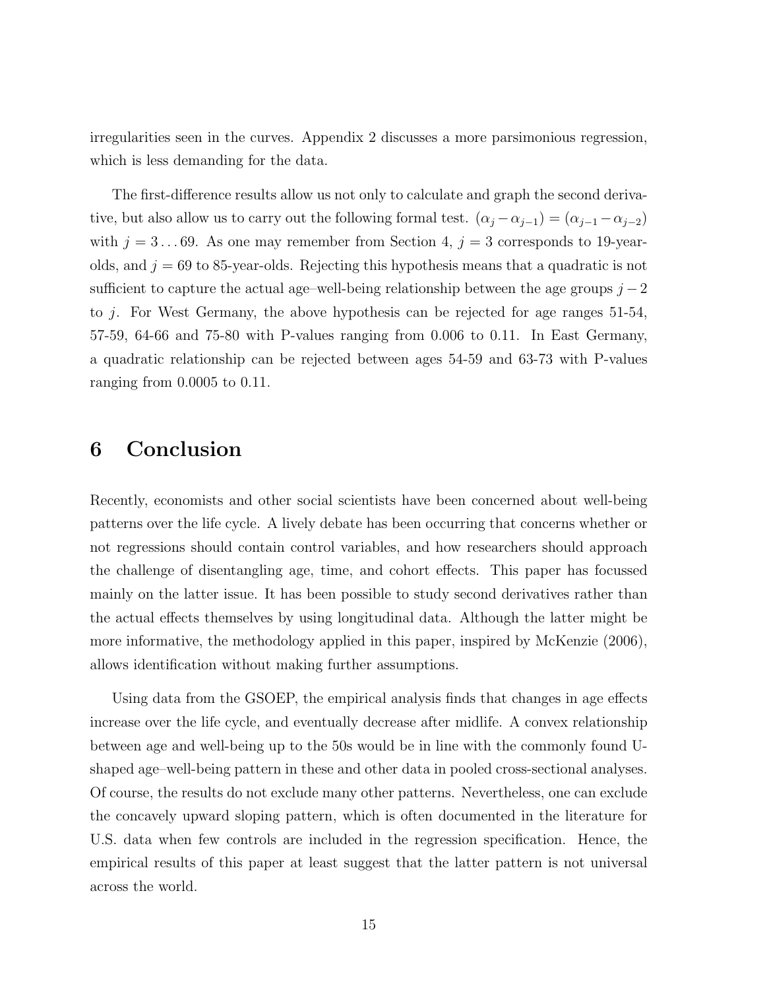irregularities seen in the curves. Appendix 2 discusses a more parsimonious regression, which is less demanding for the data.

The first-difference results allow us not only to calculate and graph the second derivative, but also allow us to carry out the following formal test.  $(\alpha_j - \alpha_{j-1}) = (\alpha_{j-1} - \alpha_{j-2})$ with  $j = 3 \dots 69$ . As one may remember from Section 4,  $j = 3$  corresponds to 19-yearolds, and  $j = 69$  to 85-year-olds. Rejecting this hypothesis means that a quadratic is not sufficient to capture the actual age–well-being relationship between the age groups  $j-2$ to j. For West Germany, the above hypothesis can be rejected for age ranges 51-54, 57-59, 64-66 and 75-80 with P-values ranging from 0.006 to 0.11. In East Germany, a quadratic relationship can be rejected between ages 54-59 and 63-73 with P-values ranging from 0.0005 to 0.11.

## 6 Conclusion

Recently, economists and other social scientists have been concerned about well-being patterns over the life cycle. A lively debate has been occurring that concerns whether or not regressions should contain control variables, and how researchers should approach the challenge of disentangling age, time, and cohort effects. This paper has focussed mainly on the latter issue. It has been possible to study second derivatives rather than the actual effects themselves by using longitudinal data. Although the latter might be more informative, the methodology applied in this paper, inspired by McKenzie (2006), allows identification without making further assumptions.

Using data from the GSOEP, the empirical analysis finds that changes in age effects increase over the life cycle, and eventually decrease after midlife. A convex relationship between age and well-being up to the 50s would be in line with the commonly found Ushaped age–well-being pattern in these and other data in pooled cross-sectional analyses. Of course, the results do not exclude many other patterns. Nevertheless, one can exclude the concavely upward sloping pattern, which is often documented in the literature for U.S. data when few controls are included in the regression specification. Hence, the empirical results of this paper at least suggest that the latter pattern is not universal across the world.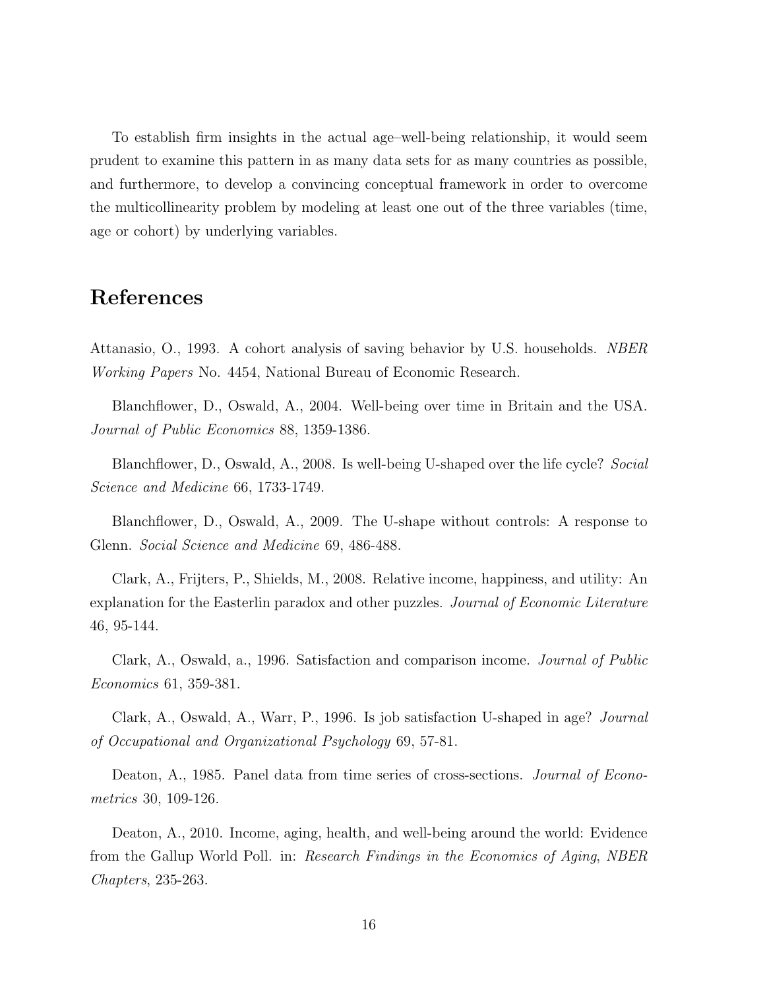To establish firm insights in the actual age–well-being relationship, it would seem prudent to examine this pattern in as many data sets for as many countries as possible, and furthermore, to develop a convincing conceptual framework in order to overcome the multicollinearity problem by modeling at least one out of the three variables (time, age or cohort) by underlying variables.

### References

Attanasio, O., 1993. A cohort analysis of saving behavior by U.S. households. NBER Working Papers No. 4454, National Bureau of Economic Research.

Blanchflower, D., Oswald, A., 2004. Well-being over time in Britain and the USA. Journal of Public Economics 88, 1359-1386.

Blanchflower, D., Oswald, A., 2008. Is well-being U-shaped over the life cycle? Social Science and Medicine 66, 1733-1749.

Blanchflower, D., Oswald, A., 2009. The U-shape without controls: A response to Glenn. Social Science and Medicine 69, 486-488.

Clark, A., Frijters, P., Shields, M., 2008. Relative income, happiness, and utility: An explanation for the Easterlin paradox and other puzzles. Journal of Economic Literature 46, 95-144.

Clark, A., Oswald, a., 1996. Satisfaction and comparison income. Journal of Public Economics 61, 359-381.

Clark, A., Oswald, A., Warr, P., 1996. Is job satisfaction U-shaped in age? Journal of Occupational and Organizational Psychology 69, 57-81.

Deaton, A., 1985. Panel data from time series of cross-sections. *Journal of Econo*metrics 30, 109-126.

Deaton, A., 2010. Income, aging, health, and well-being around the world: Evidence from the Gallup World Poll. in: Research Findings in the Economics of Aging, NBER Chapters, 235-263.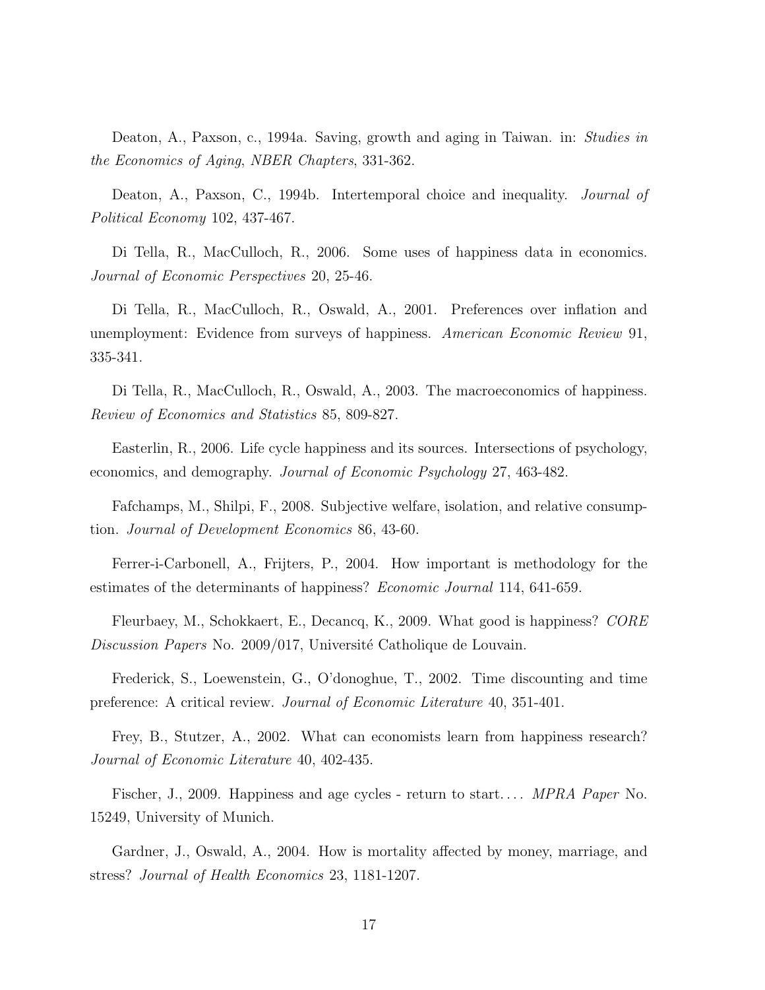Deaton, A., Paxson, c., 1994a. Saving, growth and aging in Taiwan. in: Studies in the Economics of Aging, NBER Chapters, 331-362.

Deaton, A., Paxson, C., 1994b. Intertemporal choice and inequality. Journal of Political Economy 102, 437-467.

Di Tella, R., MacCulloch, R., 2006. Some uses of happiness data in economics. Journal of Economic Perspectives 20, 25-46.

Di Tella, R., MacCulloch, R., Oswald, A., 2001. Preferences over inflation and unemployment: Evidence from surveys of happiness. American Economic Review 91, 335-341.

Di Tella, R., MacCulloch, R., Oswald, A., 2003. The macroeconomics of happiness. Review of Economics and Statistics 85, 809-827.

Easterlin, R., 2006. Life cycle happiness and its sources. Intersections of psychology, economics, and demography. Journal of Economic Psychology 27, 463-482.

Fafchamps, M., Shilpi, F., 2008. Subjective welfare, isolation, and relative consumption. Journal of Development Economics 86, 43-60.

Ferrer-i-Carbonell, A., Frijters, P., 2004. How important is methodology for the estimates of the determinants of happiness? Economic Journal 114, 641-659.

Fleurbaey, M., Schokkaert, E., Decancq, K., 2009. What good is happiness? CORE Discussion Papers No. 2009/017, Université Catholique de Louvain.

Frederick, S., Loewenstein, G., O'donoghue, T., 2002. Time discounting and time preference: A critical review. Journal of Economic Literature 40, 351-401.

Frey, B., Stutzer, A., 2002. What can economists learn from happiness research? Journal of Economic Literature 40, 402-435.

Fischer, J., 2009. Happiness and age cycles - return to start.... *MPRA Paper* No. 15249, University of Munich.

Gardner, J., Oswald, A., 2004. How is mortality affected by money, marriage, and stress? Journal of Health Economics 23, 1181-1207.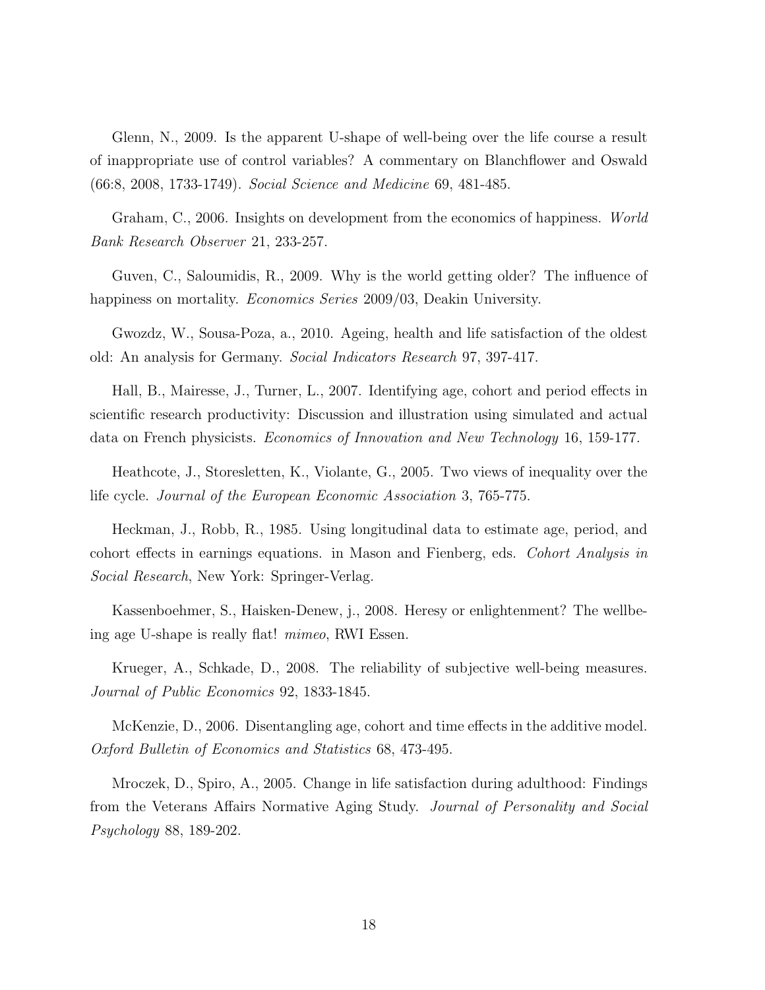Glenn, N., 2009. Is the apparent U-shape of well-being over the life course a result of inappropriate use of control variables? A commentary on Blanchflower and Oswald (66:8, 2008, 1733-1749). Social Science and Medicine 69, 481-485.

Graham, C., 2006. Insights on development from the economics of happiness. World Bank Research Observer 21, 233-257.

Guven, C., Saloumidis, R., 2009. Why is the world getting older? The influence of happiness on mortality. *Economics Series* 2009/03, Deakin University.

Gwozdz, W., Sousa-Poza, a., 2010. Ageing, health and life satisfaction of the oldest old: An analysis for Germany. Social Indicators Research 97, 397-417.

Hall, B., Mairesse, J., Turner, L., 2007. Identifying age, cohort and period effects in scientific research productivity: Discussion and illustration using simulated and actual data on French physicists. Economics of Innovation and New Technology 16, 159-177.

Heathcote, J., Storesletten, K., Violante, G., 2005. Two views of inequality over the life cycle. Journal of the European Economic Association 3, 765-775.

Heckman, J., Robb, R., 1985. Using longitudinal data to estimate age, period, and cohort effects in earnings equations. in Mason and Fienberg, eds. Cohort Analysis in Social Research, New York: Springer-Verlag.

Kassenboehmer, S., Haisken-Denew, j., 2008. Heresy or enlightenment? The wellbeing age U-shape is really flat! mimeo, RWI Essen.

Krueger, A., Schkade, D., 2008. The reliability of subjective well-being measures. Journal of Public Economics 92, 1833-1845.

McKenzie, D., 2006. Disentangling age, cohort and time effects in the additive model. Oxford Bulletin of Economics and Statistics 68, 473-495.

Mroczek, D., Spiro, A., 2005. Change in life satisfaction during adulthood: Findings from the Veterans Affairs Normative Aging Study. Journal of Personality and Social Psychology 88, 189-202.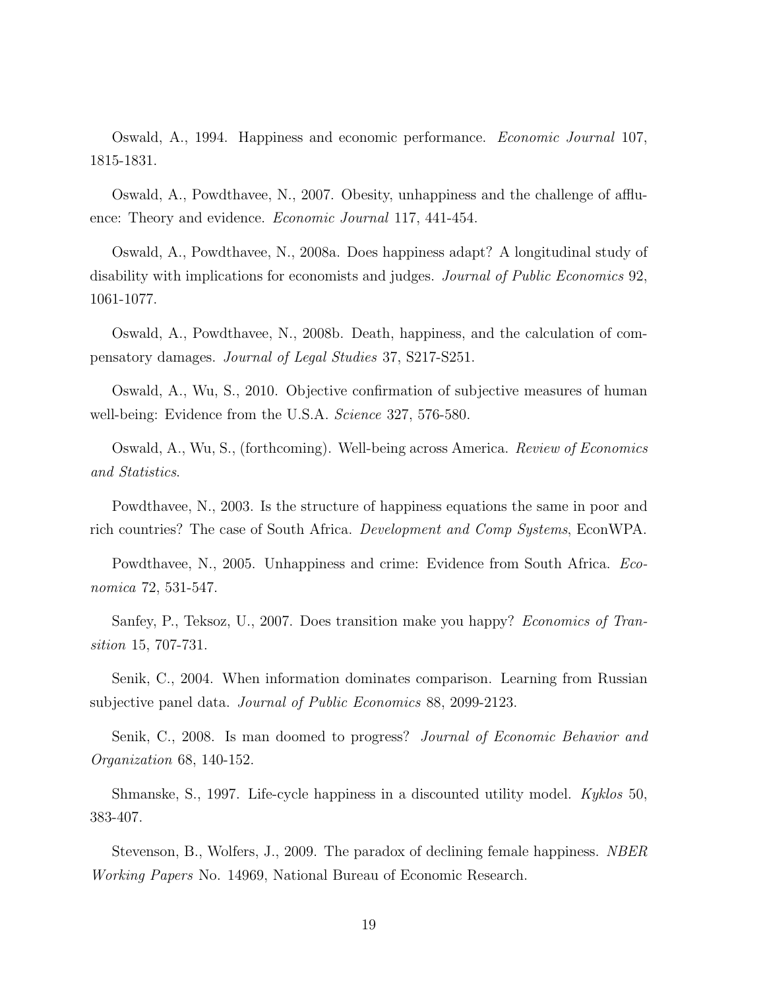Oswald, A., 1994. Happiness and economic performance. Economic Journal 107, 1815-1831.

Oswald, A., Powdthavee, N., 2007. Obesity, unhappiness and the challenge of affluence: Theory and evidence. Economic Journal 117, 441-454.

Oswald, A., Powdthavee, N., 2008a. Does happiness adapt? A longitudinal study of disability with implications for economists and judges. Journal of Public Economics 92, 1061-1077.

Oswald, A., Powdthavee, N., 2008b. Death, happiness, and the calculation of compensatory damages. Journal of Legal Studies 37, S217-S251.

Oswald, A., Wu, S., 2010. Objective confirmation of subjective measures of human well-being: Evidence from the U.S.A. Science 327, 576-580.

Oswald, A., Wu, S., (forthcoming). Well-being across America. Review of Economics and Statistics.

Powdthavee, N., 2003. Is the structure of happiness equations the same in poor and rich countries? The case of South Africa. Development and Comp Systems, EconWPA.

Powdthavee, N., 2005. Unhappiness and crime: Evidence from South Africa. Economica 72, 531-547.

Sanfey, P., Teksoz, U., 2007. Does transition make you happy? *Economics of Tran*sition 15, 707-731.

Senik, C., 2004. When information dominates comparison. Learning from Russian subjective panel data. Journal of Public Economics 88, 2099-2123.

Senik, C., 2008. Is man doomed to progress? *Journal of Economic Behavior and* Organization 68, 140-152.

Shmanske, S., 1997. Life-cycle happiness in a discounted utility model. Kyklos 50, 383-407.

Stevenson, B., Wolfers, J., 2009. The paradox of declining female happiness. *NBER* Working Papers No. 14969, National Bureau of Economic Research.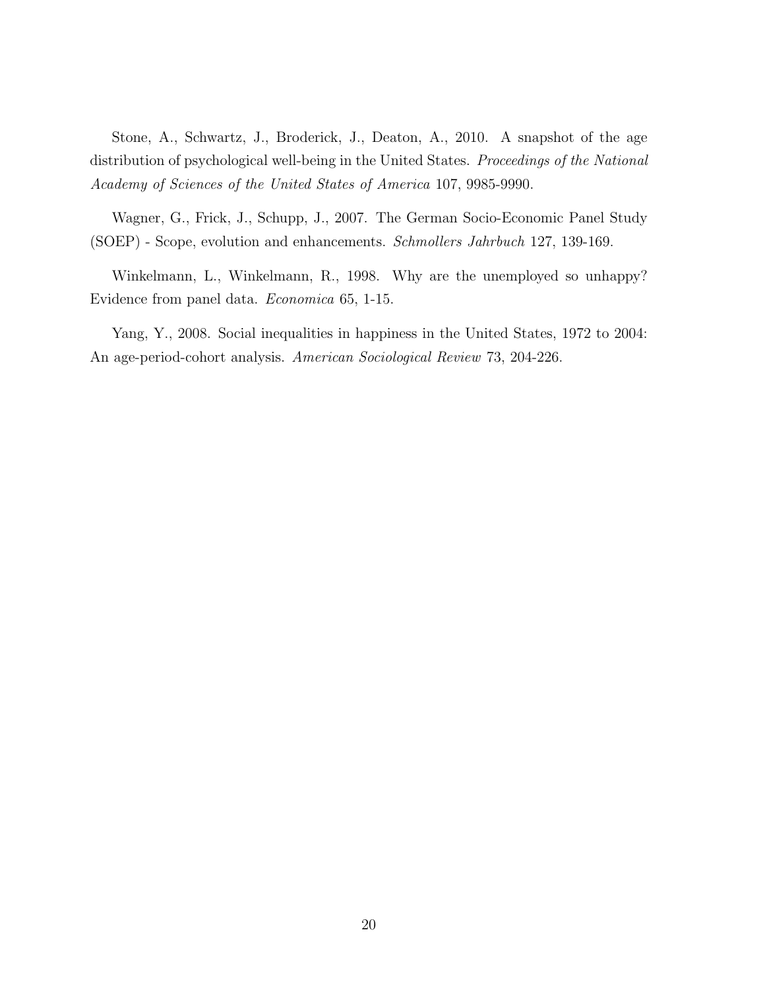Stone, A., Schwartz, J., Broderick, J., Deaton, A., 2010. A snapshot of the age distribution of psychological well-being in the United States. Proceedings of the National Academy of Sciences of the United States of America 107, 9985-9990.

Wagner, G., Frick, J., Schupp, J., 2007. The German Socio-Economic Panel Study (SOEP) - Scope, evolution and enhancements. Schmollers Jahrbuch 127, 139-169.

Winkelmann, L., Winkelmann, R., 1998. Why are the unemployed so unhappy? Evidence from panel data. Economica 65, 1-15.

Yang, Y., 2008. Social inequalities in happiness in the United States, 1972 to 2004: An age-period-cohort analysis. American Sociological Review 73, 204-226.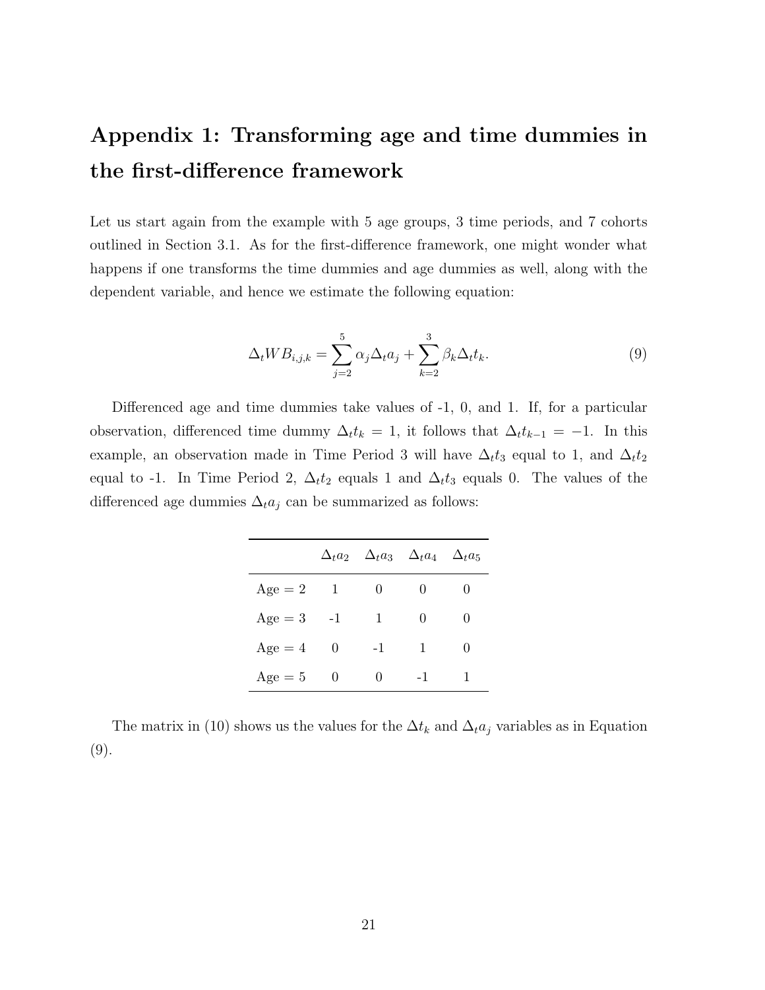# Appendix 1: Transforming age and time dummies in the first-difference framework

Let us start again from the example with 5 age groups, 3 time periods, and 7 cohorts outlined in Section 3.1. As for the first-difference framework, one might wonder what happens if one transforms the time dummies and age dummies as well, along with the dependent variable, and hence we estimate the following equation:

$$
\Delta_t W B_{i,j,k} = \sum_{j=2}^5 \alpha_j \Delta_t a_j + \sum_{k=2}^3 \beta_k \Delta_t t_k.
$$
\n(9)

Differenced age and time dummies take values of -1, 0, and 1. If, for a particular observation, differenced time dummy  $\Delta_t t_k = 1$ , it follows that  $\Delta_t t_{k-1} = -1$ . In this example, an observation made in Time Period 3 will have  $\Delta_t t_3$  equal to 1, and  $\Delta_t t_2$ equal to -1. In Time Period 2,  $\Delta_t t_2$  equals 1 and  $\Delta_t t_3$  equals 0. The values of the differenced age dummies  $\Delta_t a_j$  can be summarized as follows:

|           |          |          | $\Delta_t a_2 \quad \Delta_t a_3 \quad \Delta_t a_4 \quad \Delta_t a_5$ |   |
|-----------|----------|----------|-------------------------------------------------------------------------|---|
| $Age = 2$ | 1        | $\theta$ | 0                                                                       |   |
| $Age = 3$ | $-1$     | 1        | 0                                                                       | 0 |
| $Age = 4$ | $\theta$ | $-1$     | 1                                                                       | 0 |
| $Age = 5$ | 0        | 0        | -1                                                                      |   |

The matrix in (10) shows us the values for the  $\Delta t_k$  and  $\Delta_t a_j$  variables as in Equation (9).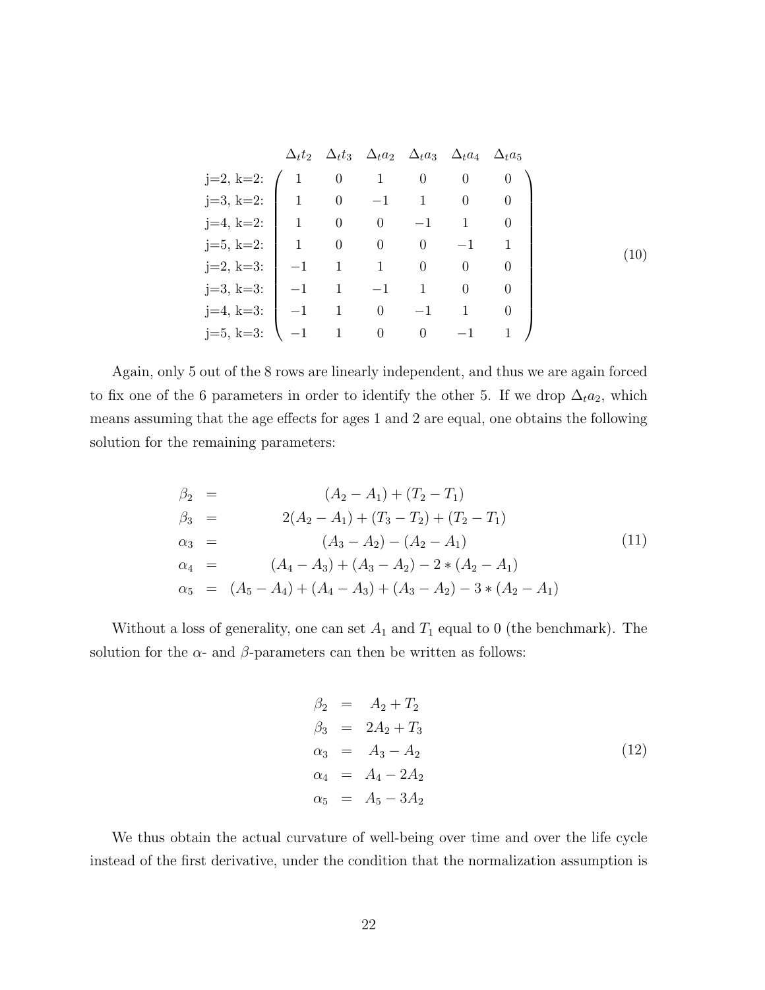|                          |                |                |                                             | $\Delta_t t_2 \quad \Delta_t t_3 \quad \Delta_t a_2 \quad \Delta_t a_3 \quad \Delta_t a_4 \quad \Delta_t a_5$ |                |                |
|--------------------------|----------------|----------------|---------------------------------------------|---------------------------------------------------------------------------------------------------------------|----------------|----------------|
| $j=2, k=2$ :             |                | $\overline{0}$ | $1 \qquad 0$                                |                                                                                                               | $\overline{0}$ | $\overline{0}$ |
| $j=3, k=2$ :             | $\overline{1}$ |                |                                             | $0 \t -1 \t 1 \t 0$                                                                                           |                |                |
| $j=4, k=2;$   1 0 0 -1 1 |                |                |                                             |                                                                                                               |                |                |
| $j=5, k=2$ :             | $\vert$ 1      |                | $0 \qquad 0 \qquad 0$                       |                                                                                                               | $-1$           |                |
| $j=2, k=3:$              |                |                | $-1 \qquad 1 \qquad \quad 1 \qquad \quad 0$ |                                                                                                               | $\overline{0}$ |                |
| $j=3, k=3$ :             |                |                | $-1$ 1 $-1$ 1                               |                                                                                                               | $\theta$       |                |
| $j=4, k=3$ :             |                | $-1$ 1 0       |                                             |                                                                                                               |                |                |
| $j=5, k=3:$              |                |                | $\overline{0}$                              | $\begin{array}{cc} 0 \end{array}$                                                                             |                |                |

Again, only 5 out of the 8 rows are linearly independent, and thus we are again forced to fix one of the 6 parameters in order to identify the other 5. If we drop  $\Delta_t a_2$ , which means assuming that the age effects for ages 1 and 2 are equal, one obtains the following solution for the remaining parameters:

$$
\beta_2 = (A_2 - A_1) + (T_2 - T_1) \n\beta_3 = 2(A_2 - A_1) + (T_3 - T_2) + (T_2 - T_1) \n\alpha_3 = (A_3 - A_2) - (A_2 - A_1) \n\alpha_4 = (A_4 - A_3) + (A_3 - A_2) - 2 * (A_2 - A_1) \n\alpha_5 = (A_5 - A_4) + (A_4 - A_3) + (A_3 - A_2) - 3 * (A_2 - A_1)
$$
\n(11)

Without a loss of generality, one can set  $A_1$  and  $T_1$  equal to 0 (the benchmark). The solution for the  $\alpha$ - and  $\beta$ -parameters can then be written as follows:

$$
\beta_2 = A_2 + T_2 \n\beta_3 = 2A_2 + T_3 \n\alpha_3 = A_3 - A_2 \n\alpha_4 = A_4 - 2A_2 \n\alpha_5 = A_5 - 3A_2
$$
\n(12)

We thus obtain the actual curvature of well-being over time and over the life cycle instead of the first derivative, under the condition that the normalization assumption is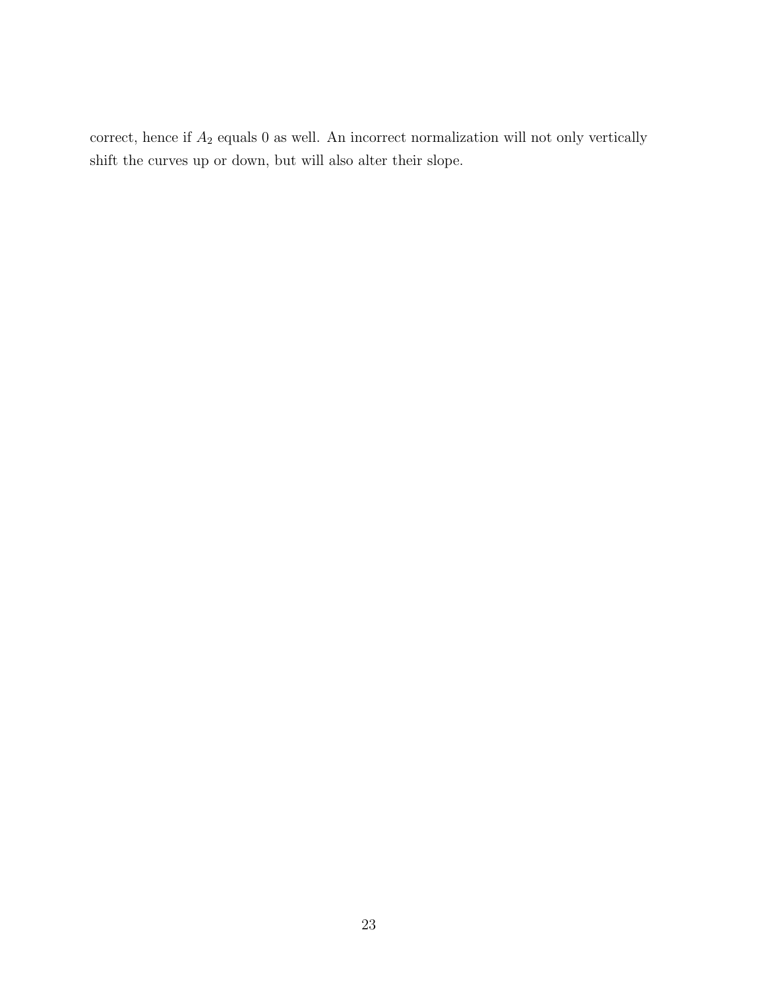correct, hence if  $A_2$  equals 0 as well. An incorrect normalization will not only vertically shift the curves up or down, but will also alter their slope.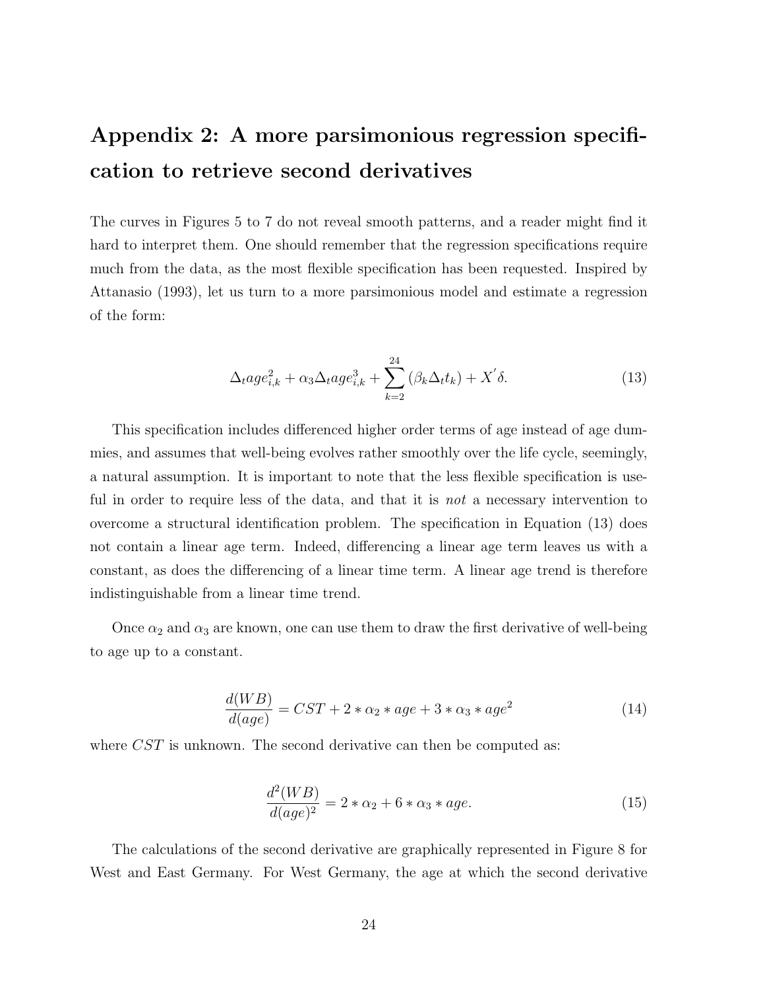# Appendix 2: A more parsimonious regression specification to retrieve second derivatives

The curves in Figures 5 to 7 do not reveal smooth patterns, and a reader might find it hard to interpret them. One should remember that the regression specifications require much from the data, as the most flexible specification has been requested. Inspired by Attanasio (1993), let us turn to a more parsimonious model and estimate a regression of the form:

$$
\Delta_t a g e_{i,k}^2 + \alpha_3 \Delta_t a g e_{i,k}^3 + \sum_{k=2}^{24} (\beta_k \Delta_t t_k) + X' \delta.
$$
 (13)

This specification includes differenced higher order terms of age instead of age dummies, and assumes that well-being evolves rather smoothly over the life cycle, seemingly, a natural assumption. It is important to note that the less flexible specification is useful in order to require less of the data, and that it is *not* a necessary intervention to overcome a structural identification problem. The specification in Equation (13) does not contain a linear age term. Indeed, differencing a linear age term leaves us with a constant, as does the differencing of a linear time term. A linear age trend is therefore indistinguishable from a linear time trend.

Once  $\alpha_2$  and  $\alpha_3$  are known, one can use them to draw the first derivative of well-being to age up to a constant.

$$
\frac{d(WB)}{d(age)} = CST + 2 * \alpha_2 * age + 3 * \alpha_3 * age^2 \tag{14}
$$

where *CST* is unknown. The second derivative can then be computed as:

$$
\frac{d^2(WB)}{d(age)^2} = 2 * \alpha_2 + 6 * \alpha_3 * age.
$$
\n(15)

The calculations of the second derivative are graphically represented in Figure 8 for West and East Germany. For West Germany, the age at which the second derivative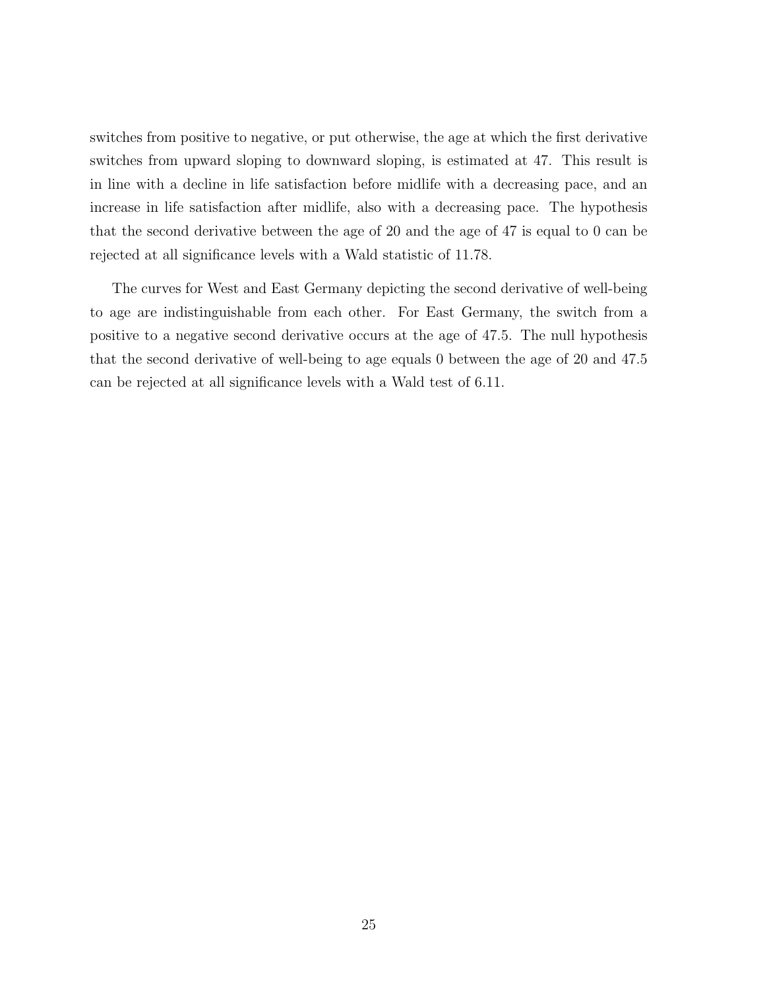switches from positive to negative, or put otherwise, the age at which the first derivative switches from upward sloping to downward sloping, is estimated at 47. This result is in line with a decline in life satisfaction before midlife with a decreasing pace, and an increase in life satisfaction after midlife, also with a decreasing pace. The hypothesis that the second derivative between the age of 20 and the age of 47 is equal to 0 can be rejected at all significance levels with a Wald statistic of 11.78.

The curves for West and East Germany depicting the second derivative of well-being to age are indistinguishable from each other. For East Germany, the switch from a positive to a negative second derivative occurs at the age of 47.5. The null hypothesis that the second derivative of well-being to age equals 0 between the age of 20 and 47.5 can be rejected at all significance levels with a Wald test of 6.11.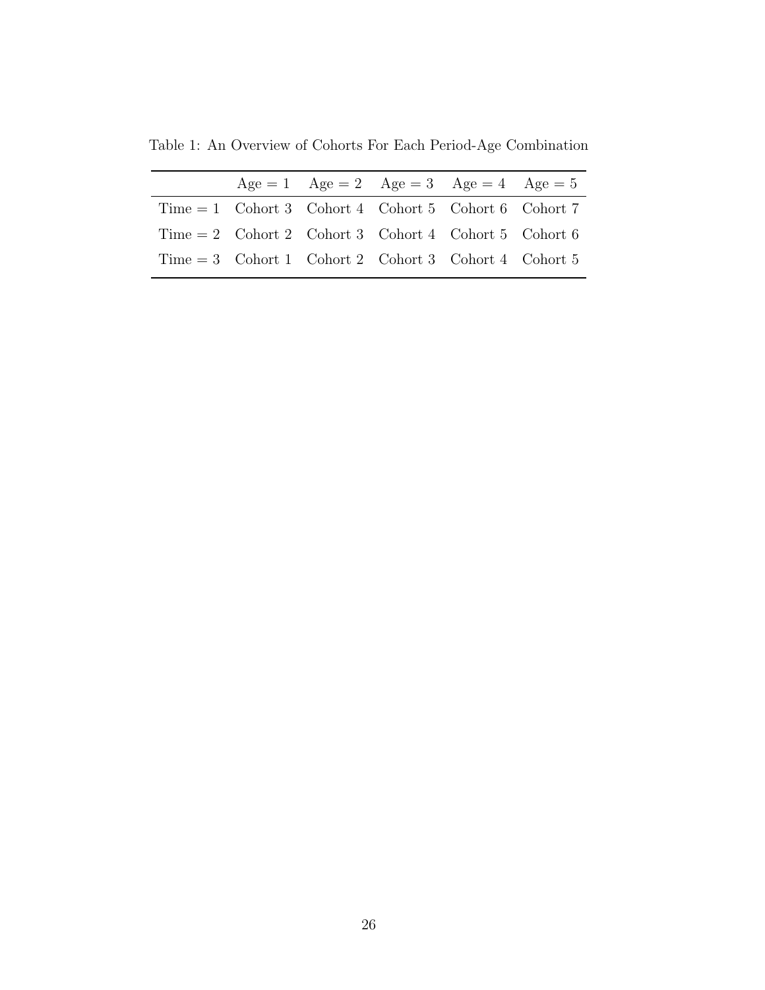Table 1: An Overview of Cohorts For Each Period-Age Combination

|  | $Age = 1$ $Age = 2$ $Age = 3$ $Age = 4$ $Age = 5$       |  |  |
|--|---------------------------------------------------------|--|--|
|  | $Time = 1$ Cohort 3 Cohort 4 Cohort 5 Cohort 6 Cohort 7 |  |  |
|  | Time = 2 Cohort 2 Cohort 3 Cohort 4 Cohort 5 Cohort 6   |  |  |
|  | $Time = 3$ Cohort 1 Cohort 2 Cohort 3 Cohort 4 Cohort 5 |  |  |
|  |                                                         |  |  |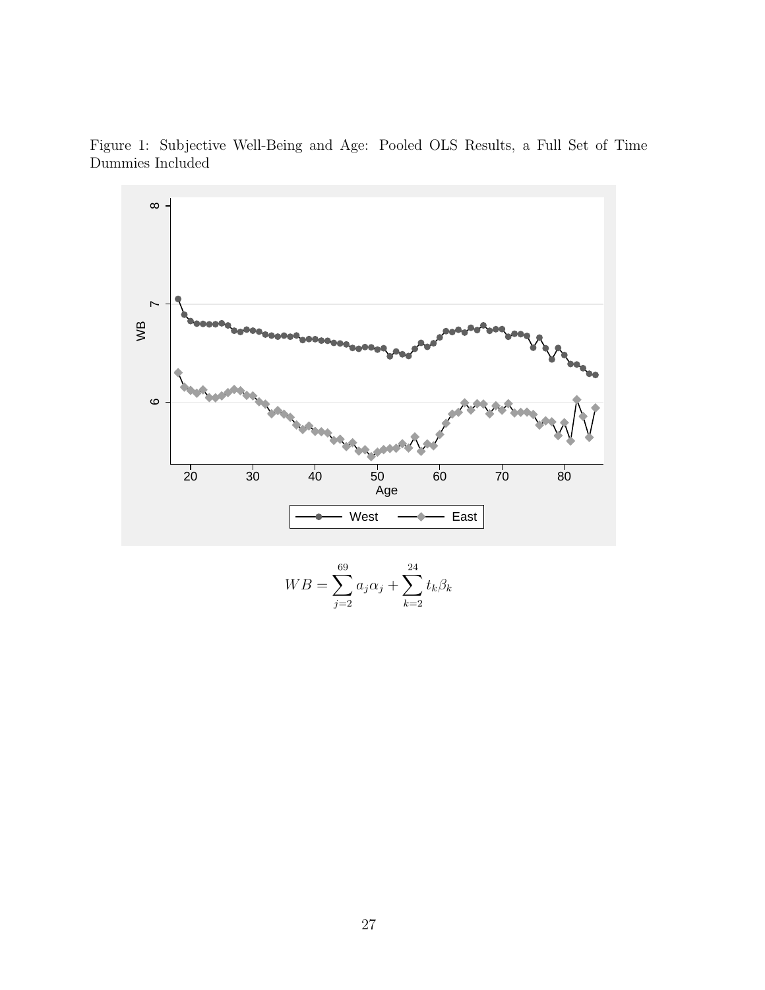Figure 1: Subjective Well-Being and Age: Pooled OLS Results, a Full Set of Time Dummies Included



$$
WB = \sum_{j=2}^{69} a_j \alpha_j + \sum_{k=2}^{24} t_k \beta_k
$$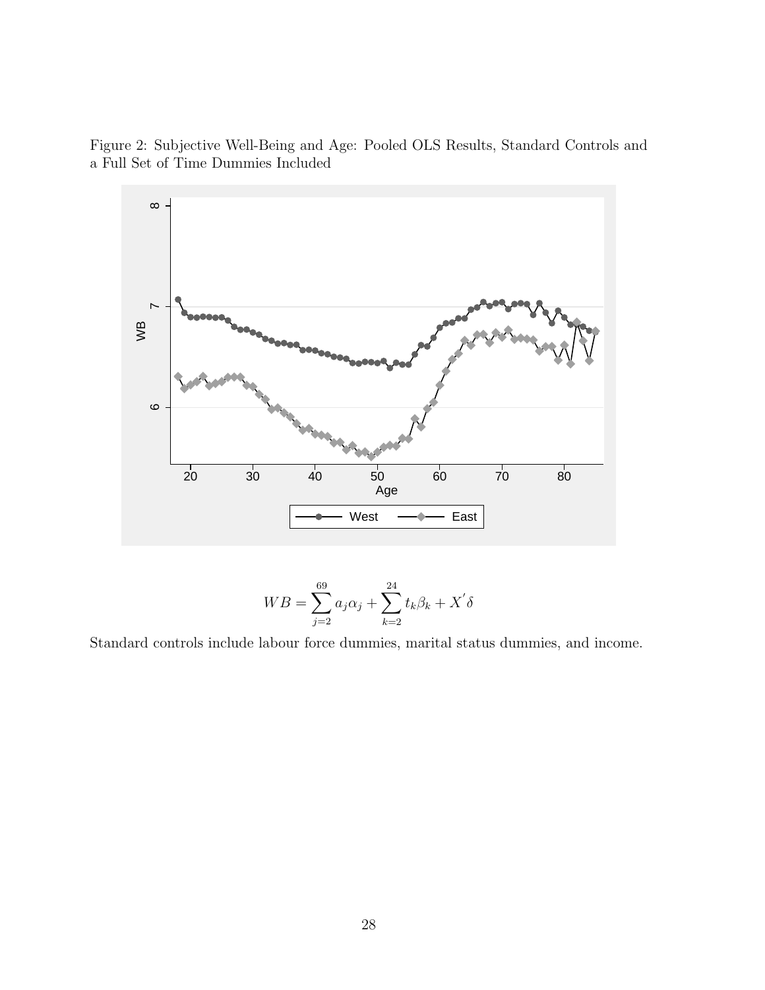Figure 2: Subjective Well-Being and Age: Pooled OLS Results, Standard Controls and a Full Set of Time Dummies Included



$$
WB = \sum_{j=2}^{69} a_j \alpha_j + \sum_{k=2}^{24} t_k \beta_k + X' \delta
$$

Standard controls include labour force dummies, marital status dummies, and income.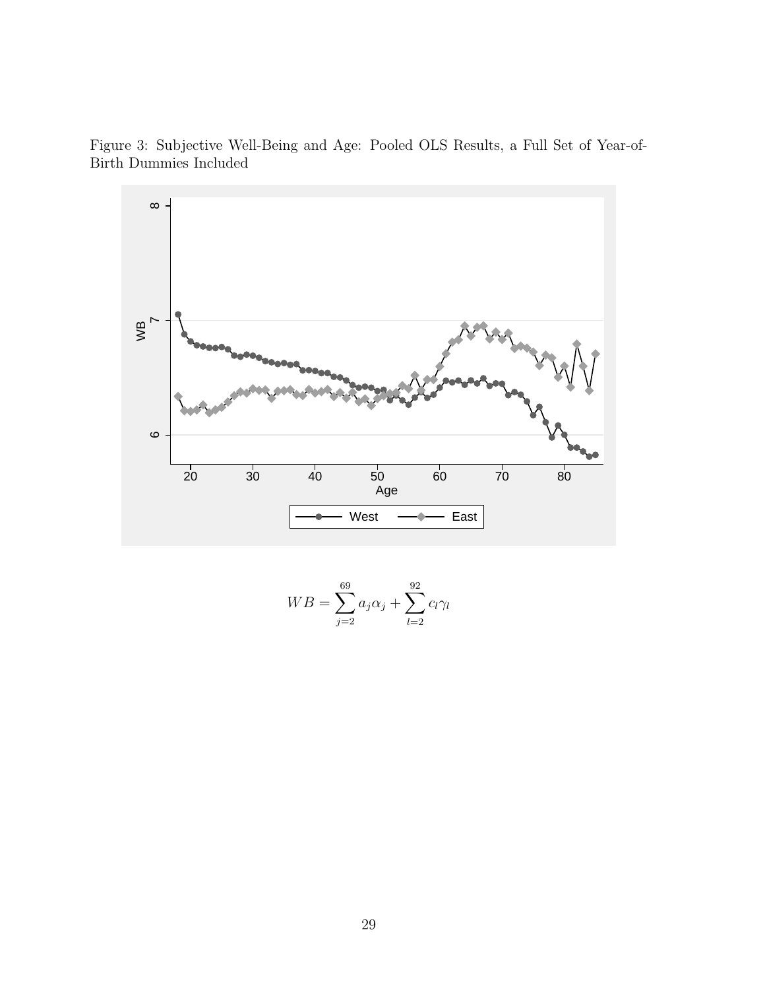Figure 3: Subjective Well-Being and Age: Pooled OLS Results, a Full Set of Year-of-Birth Dummies Included



$$
WB = \sum_{j=2}^{69} a_j \alpha_j + \sum_{l=2}^{92} c_l \gamma_l
$$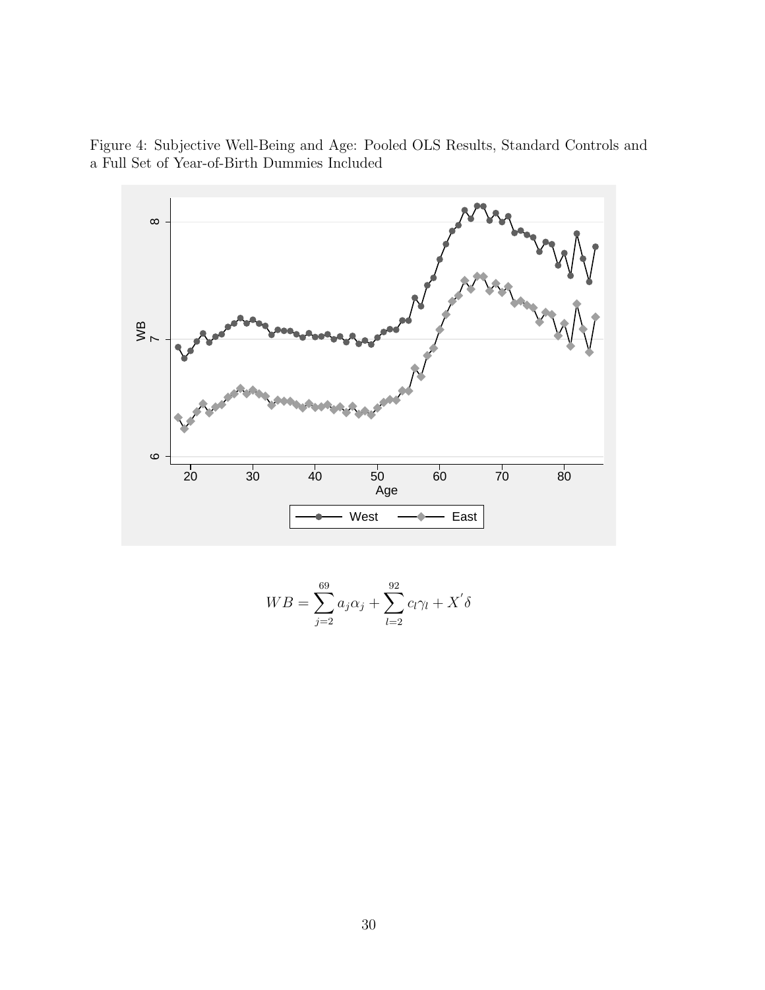Figure 4: Subjective Well-Being and Age: Pooled OLS Results, Standard Controls and a Full Set of Year-of-Birth Dummies Included



$$
WB = \sum_{j=2}^{69} a_j \alpha_j + \sum_{l=2}^{92} c_l \gamma_l + X' \delta
$$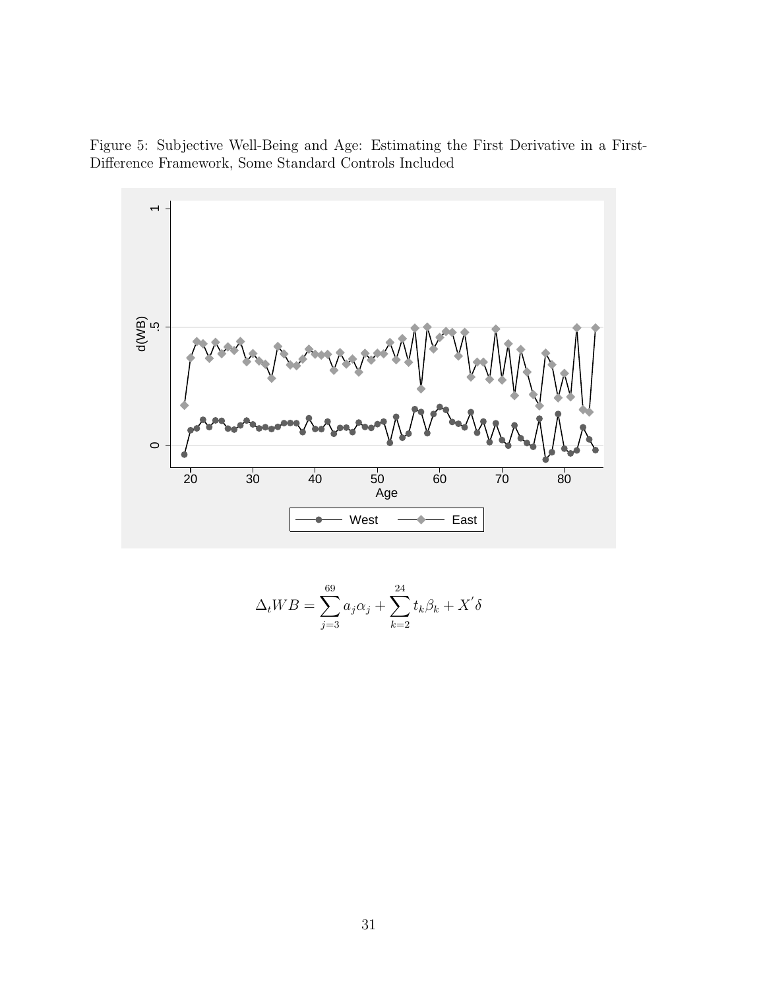Figure 5: Subjective Well-Being and Age: Estimating the First Derivative in a First-Difference Framework, Some Standard Controls Included



$$
\Delta_t WB = \sum_{j=3}^{69} a_j \alpha_j + \sum_{k=2}^{24} t_k \beta_k + X' \delta
$$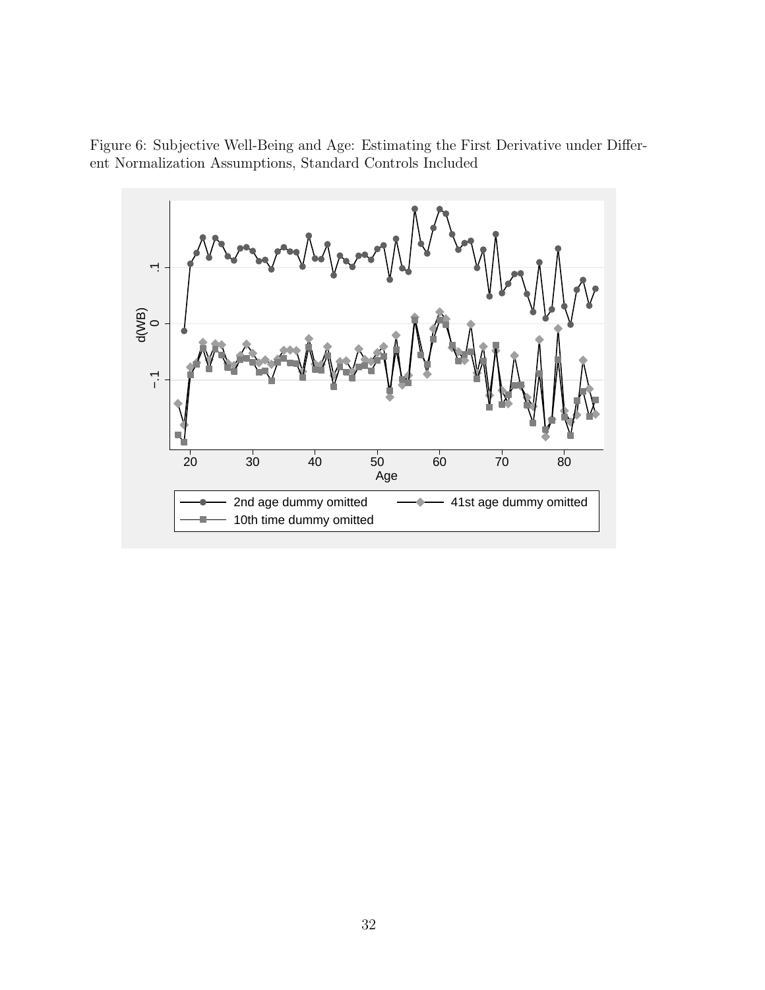Figure 6: Subjective Well-Being and Age: Estimating the First Derivative under Different Normalization Assumptions, Standard Controls Included

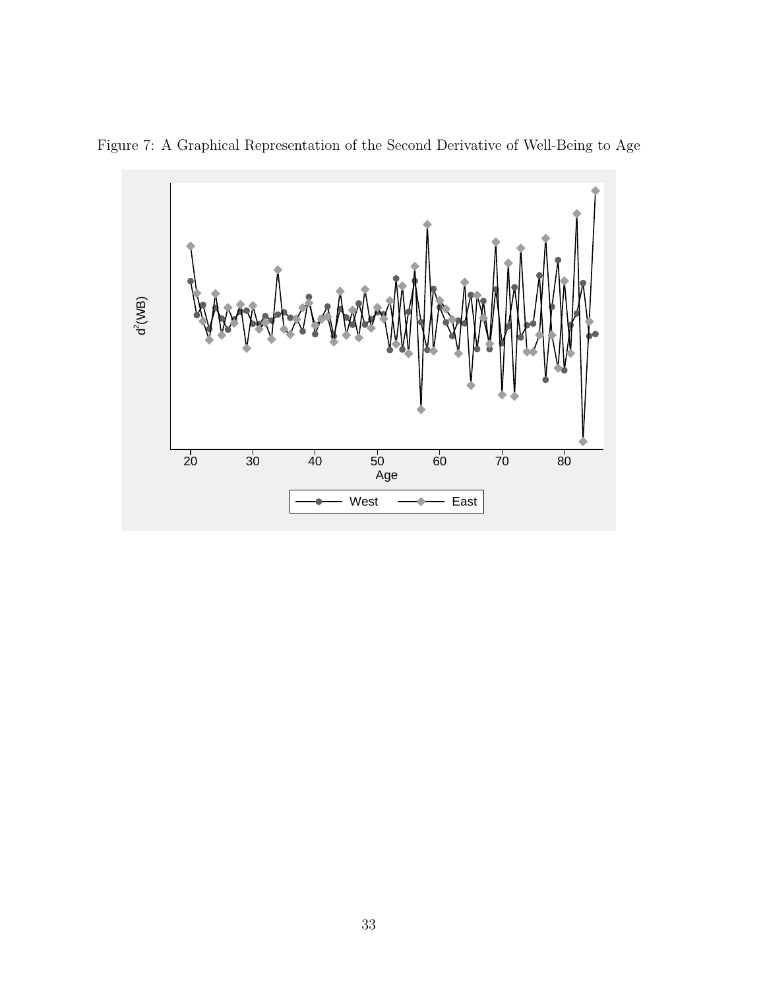

Figure 7: A Graphical Representation of the Second Derivative of Well-Being to Age